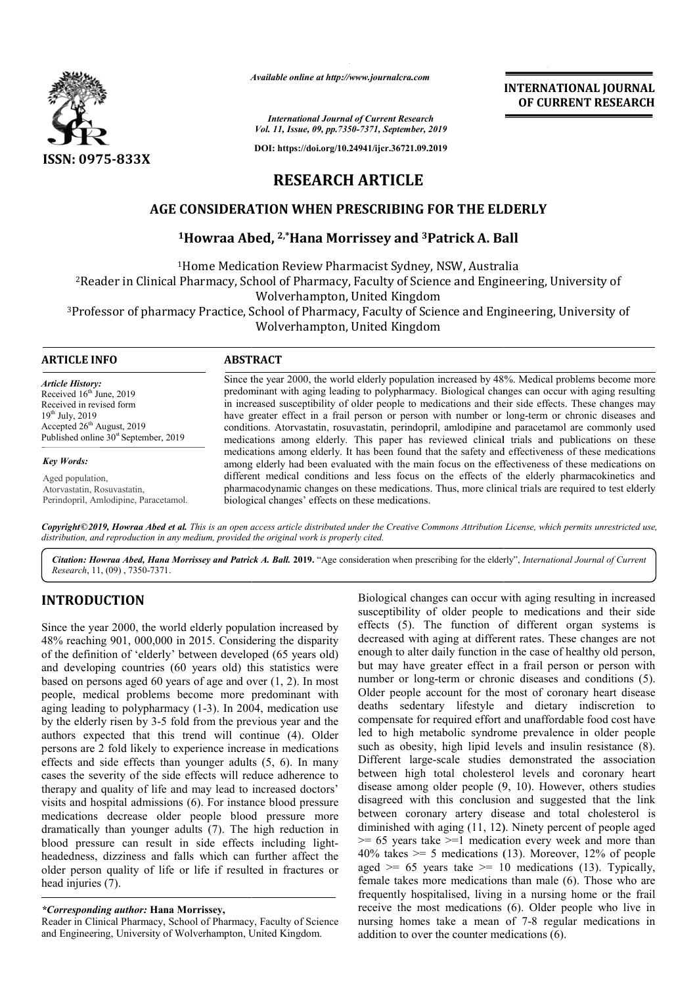

*Available online at http://www.journalcra.com*

*International Journal of Current Research Vol. 11, Issue, 09, pp.7350-7371, September, 2019*

**DOI: https://doi.org/10.24941/ijcr.36721.09.2019**

# **INTERNATIONAL JOURNAL OF CURRENT RESEARCH**

**RESEARCH ARTICLE**

## **AGE CONSIDERATION WHEN PRESCRIBING FOR THE ELDERLY**

## **1Howraa Abed, Howraa 2,\*Hana Morrissey and 3Patrick A. Ball Patrick**

1Home Medication Review Pharmacist Sydney, NSW, Australia 2Reader in Clinical Pharmacy, School of Pharmacy, Faculty of Science and Engineering, University of Reader Wolverhampton, United Kingdom 3Professor of pharmacy Practice, School of Pharmacy, Faculty of Science and Engineering, University of Professor Wolverhampton, United Kingdom <sup>1</sup>Home Medication Review Pharmacist Sydney, NSW, Australia<br>in Clinical Pharmacy, School of Pharmacy, Faculty of Science and Enginee<br>Wolverhampton, United Kingdom<br>of pharmacy Practice, School of Pharmacy, Faculty of Scienc

#### **ARTICLE INFO ABSTRACT**

*Article History:* Received 16<sup>th</sup> June, 2019 Received in revised form 19th July, 2019 Accepted 26<sup>th</sup> August, 2019 Published online  $30<sup>st</sup>$  September, 2019

*Key Words:*

Aged population, Atorvastatin, Rosuvastatin, Perindopril, Amlodipine, Paracetamol. Since the year 2000, the world elderly population increased by 48%. Medical problems become more Since the year 2000, the world elderly population increased by 48%. Medical problems become more predominant with aging leading to polypharmacy. Biological changes can occur with aging resulting in increased susceptibility of older people to medications and their side effects. These changes may in increased susceptibility of older people to medications and their side effects. These changes may have greater effect in a frail person or person with number or long-term or chronic diseases and conditions. Atorvastatin, rosuvastatin, perindopril, amlodipine and paracetamol are commonly used medications among elderly. This paper has reviewed clinical trials and publications on these medications among elderly. It has been found that the safety and effectiveness of these medicat among elderly had been evaluated with the main focus on the effectiveness of these medications on different medical conditions and less focus on the effects of the elderly pharmacokinetics and pharmacodynamic changes on these medications. Thus, more clinical trials are required to test elderly biological changes' effects on these medications. conditions. Atorvastatin, rosuvastatin, perindopril, amlodipine and paracetamol are commonly used<br>medications among elderly. This paper has reviewed clinical trials and publications on these<br>medications among elderly. It h among elderly had been evaluated with the main focus on the effectiveness of these medications different medical conditions and less focus on the effects of the elderly pharmacokinetics a pharmacodynamic changes on these m

Copyright©2019, Howraa Abed et al. This is an open access article distributed under the Creative Commons Attribution License, which permits unrestricted use, *distribution, and reproduction in any medium, provided the original work is properly cited.*

Citation: Howraa Abed, Hana Morrissey and Patrick A. Ball. 2019. "Age consideration when prescribing for the elderly", International Journal of Current *Research*, 11, (09) , 7350-7371.

## **INTRODUCTION**

Since the year 2000, the world elderly population increased by 48% reaching 901, 000,000 in 2015. Considering the disparity of the definition of 'elderly' between developed (65 years old) and developing countries (60 years old) this statistics were based on persons aged 60 years of age and over (1, 2). In most people, medical problems become more predominant with aging leading to polypharmacy (1-3). In 2004, medication use by the elderly risen by 3-5 fold from the previous year and the authors expected that this trend will continue (4). Older persons are 2 fold likely to experience increase in medications effects and side effects than younger adults (5, 6). In many cases the severity of the side effects will reduce adherence to therapy and quality of life and may lead to increased doctors' visits and hospital admissions (6). For instance blood pressure medications decrease older people blood pressure more dramatically than younger adults (7). The high reduction in blood pressure can result in side effects including lightheadedness, dizziness and falls which can further affect the older person quality of life or life if resulted in fractures or head injuries (7).

#### *\*Corresponding author:* **Hana Morrissey,**

Reader in Clinical Pharmacy, School of Pharmacy, Faculty of Science and Engineering, University of Wolverhampton, United Kingdom.

Biological changes can occur with aging resulting in increased susceptibility of older people to medications and their side effects (5). The function of different organ systems is decreased with aging at different rates. These changes are not enough to alter daily function in the case of healthy old person, but may have greater effect in a frail person or person with number or long-term or chronic diseases and conditions (5). Older people account for the most of coronary heart disease deaths sedentary lifestyle and dietary indiscretion to compensate for required effort led to high metabolic syndrome prevalence in older people such as obesity, high lipid levels and insulin resistance (8). Different large-scale studies demonstrated the association Different large-scale studies demonstrated the association<br>between high total cholesterol levels and coronary heart disease among older people  $(9, 10)$ . However, others studies disagreed with this conclusion and suggested that the link between coronary artery disease and total cholesterol is disagreed with this conclusion and suggested that the link<br>between coronary artery disease and total cholesterol is<br>diminished with aging (11, 12). Ninety percent of people aged  $>= 65$  years take  $>= 1$  medication every week and more than  $\ge$  = 65 years take  $\ge$  =1 medication every week and more than 40% takes  $\ge$  = 5 medications (13). Moreover, 12% of people aged  $\geq 65$  years take  $\geq 10$  medications (13). Typically, female takes more medications than male (6). Those who are frequently hospitalised, living in a nursing home or the frail frequently hospitalised, living in a nursing home or the frail receive the most medications (6). Older people who live in nursing homes take a mean of 7-8 regular medications in addition to over the counter medications (6). changes can occur with aging resulting in increased<br>y of older people to medications and their side<br>The function of different organ systems is<br>with aging at different rates. These changes are not<br>lter daily function in the the most of coronary heart disease<br>le and dietary indiscretion to<br>fort and unaffordable food cost have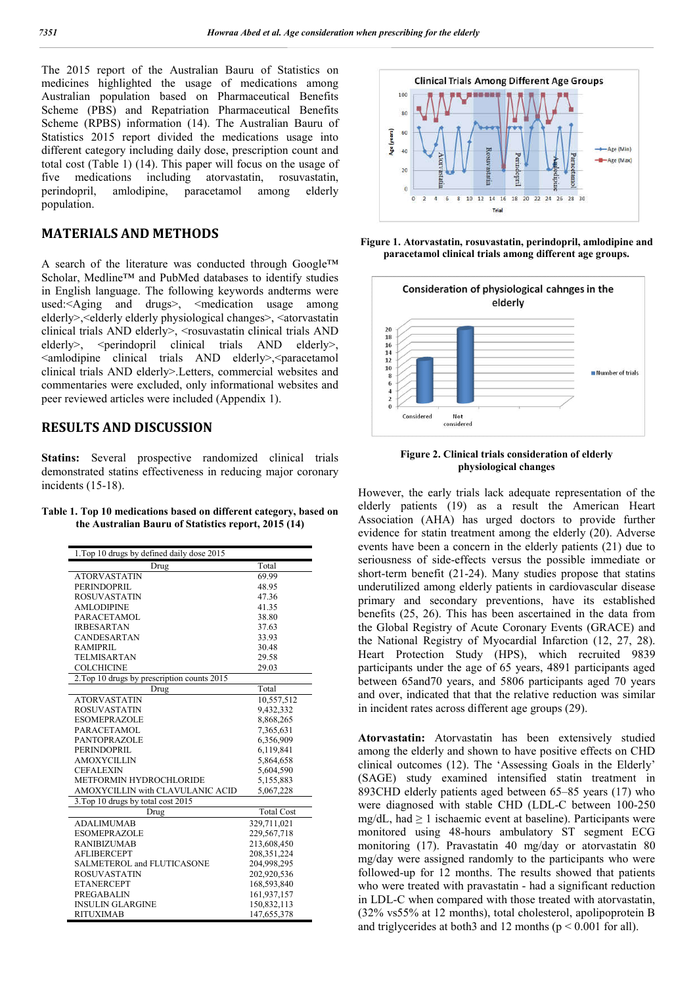The 2015 report of the Australian Bauru of Statistics on medicines highlighted the usage of medications among Australian population based on Pharmaceutical Benefits Scheme (PBS) and Repatriation Pharmaceutical Benefits Scheme (RPBS) information (14). The Australian Bauru of Statistics 2015 report divided the medications usage into different category including daily dose, prescription count and total cost (Table 1) (14). This paper will focus on the usage of five medications including atorvastatin, rosuvastatin, perindopril, amlodipine, paracetamol among elderly population.

#### **MATERIALS AND METHODS**

A search of the literature was conducted through Google™ Scholar, Medline™ and PubMed databases to identify studies in English language. The following keywords andterms were used:<Aging and drugs>, <medication usage among elderly>,<elderly elderly physiological changes>, <atorvastatin clinical trials AND elderly>, <rosuvastatin clinical trials AND elderly>,  $\leq$  perindopril clinical trials AND elderly>, <amlodipine clinical trials AND elderly>,<paracetamol clinical trials AND elderly>.Letters, commercial websites and commentaries were excluded, only informational websites and peer reviewed articles were included (Appendix 1).

## **RESULTS AND DISCUSSION**

**Statins:** Several prospective randomized clinical trials demonstrated statins effectiveness in reducing major coronary incidents (15-18).

**Table 1. Top 10 medications based on different category, based on the Australian Bauru of Statistics report, 2015 (14)**

| 1. Top 10 drugs by defined daily dose 2015  |                   |
|---------------------------------------------|-------------------|
| Drug                                        | Total             |
| <b>ATORVASTATIN</b>                         | 69.99             |
| <b>PERINDOPRIL</b>                          | 48.95             |
| <b>ROSUVASTATIN</b>                         | 47.36             |
| <b>AMLODIPINE</b>                           | 41.35             |
| <b>PARACETAMOL</b>                          | 38.80             |
| <b>IRBESARTAN</b>                           | 37.63             |
| <b>CANDESARTAN</b>                          | 33.93             |
| <b>RAMIPRIL</b>                             | 30.48             |
| <b>TELMISARTAN</b>                          | 29.58             |
| <b>COLCHICINE</b>                           | 29.03             |
| 2. Top 10 drugs by prescription counts 2015 |                   |
| Drug                                        | Total             |
| <b>ATORVASTATIN</b>                         | 10,557,512        |
| <b>ROSUVASTATIN</b>                         | 9,432,332         |
| <b>ESOMEPRAZOLE</b>                         | 8,868,265         |
| <b>PARACETAMOL</b>                          | 7,365,631         |
| <b>PANTOPRAZOLE</b>                         | 6,356,909         |
| <b>PERINDOPRIL</b>                          | 6,119,841         |
| <b>AMOXYCILLIN</b>                          | 5,864,658         |
| <b>CEFALEXIN</b>                            | 5,604,590         |
| METFORMIN HYDROCHLORIDE                     | 5,155,883         |
| AMOXYCILLIN with CLAVULANIC ACID            | 5,067,228         |
| 3. Top 10 drugs by total cost 2015          |                   |
| Drug                                        | <b>Total Cost</b> |
| <b>ADALIMUMAB</b>                           | 329.711.021       |
| <b>ESOMEPRAZOLE</b>                         | 229,567,718       |
| <b>RANIBIZUMAB</b>                          | 213,608,450       |
| <b>AFLIBERCEPT</b>                          | 208, 351, 224     |
| SALMETEROL and FLUTICASONE                  | 204,998,295       |
| <b>ROSUVASTATIN</b>                         | 202,920,536       |
| <b>ETANERCEPT</b>                           | 168,593,840       |
| <b>PREGABALIN</b>                           | 161,937,157       |
| <b>INSULIN GLARGINE</b>                     | 150,832,113       |
| <b>RITUXIMAB</b>                            | 147,655,378       |



**Figure 1. Atorvastatin, rosuvastatin, perindopril, amlodipine and paracetamol clinical trials among different age groups.**



**Figure 2. Clinical trials consideration of elderly physiological changes**

However, the early trials lack adequate representation of the elderly patients (19) as a result the American Heart Association (AHA) has urged doctors to provide further evidence for statin treatment among the elderly (20). Adverse events have been a concern in the elderly patients (21) due to seriousness of side-effects versus the possible immediate or short-term benefit (21-24). Many studies propose that statins underutilized among elderly patients in cardiovascular disease primary and secondary preventions, have its established benefits (25, 26). This has been ascertained in the data from the Global Registry of Acute Coronary Events (GRACE) and the National Registry of Myocardial Infarction (12, 27, 28). Heart Protection Study (HPS), which recruited 9839 participants under the age of 65 years, 4891 participants aged between 65and70 years, and 5806 participants aged 70 years and over, indicated that that the relative reduction was similar in incident rates across different age groups (29).

**Atorvastatin:** Atorvastatin has been extensively studied among the elderly and shown to have positive effects on CHD clinical outcomes (12). The 'Assessing Goals in the Elderly' (SAGE) study examined intensified statin treatment in 893CHD elderly patients aged between 65–85 years (17) who were diagnosed with stable CHD (LDL-C between 100-250 mg/dL, had  $\geq 1$  ischaemic event at baseline). Participants were monitored using 48-hours ambulatory ST segment ECG monitoring (17). Pravastatin 40 mg/day or atorvastatin 80 mg/day were assigned randomly to the participants who were followed-up for 12 months. The results showed that patients who were treated with pravastatin - had a significant reduction in LDL-C when compared with those treated with atorvastatin, (32% vs55% at 12 months), total cholesterol, apolipoprotein B and triglycerides at both3 and 12 months ( $p \le 0.001$  for all).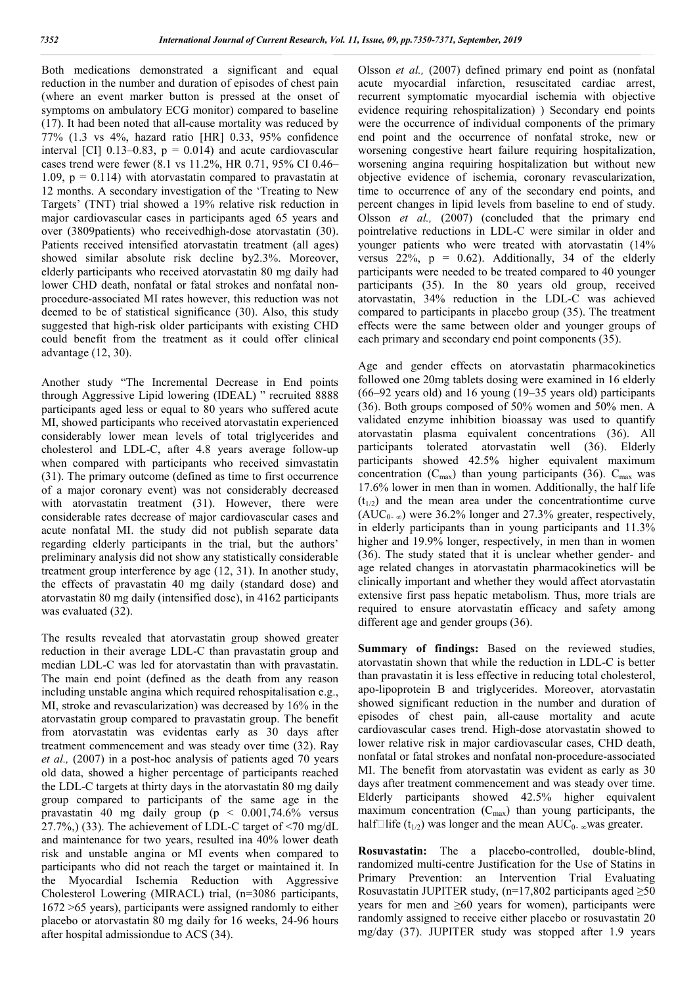Both medications demonstrated a significant and equal reduction in the number and duration of episodes of chest pain (where an event marker button is pressed at the onset of symptoms on ambulatory ECG monitor) compared to baseline (17). It had been noted that all-cause mortality was reduced by 77% (1.3 vs 4%, hazard ratio [HR] 0.33, 95% confidence interval [CI]  $0.13-0.83$ ,  $p = 0.014$ ) and acute cardiovascular cases trend were fewer (8.1 vs 11.2%, HR 0.71, 95% CI 0.46– 1.09,  $p = 0.114$ ) with atorvastatin compared to pravastatin at 12 months. A secondary investigation of the 'Treating to New Targets' (TNT) trial showed a 19% relative risk reduction in major cardiovascular cases in participants aged 65 years and over (3809patients) who receivedhigh-dose atorvastatin (30). Patients received intensified atorvastatin treatment (all ages) showed similar absolute risk decline by2.3%. Moreover, elderly participants who received atorvastatin 80 mg daily had lower CHD death, nonfatal or fatal strokes and nonfatal nonprocedure-associated MI rates however, this reduction was not deemed to be of statistical significance (30). Also, this study suggested that high-risk older participants with existing CHD could benefit from the treatment as it could offer clinical advantage (12, 30).

Another study "The Incremental Decrease in End points through Aggressive Lipid lowering (IDEAL) " recruited 8888 participants aged less or equal to 80 years who suffered acute MI, showed participants who received atorvastatin experienced considerably lower mean levels of total triglycerides and cholesterol and LDL-C, after 4.8 years average follow-up when compared with participants who received simvastatin (31). The primary outcome (defined as time to first occurrence of a major coronary event) was not considerably decreased with atorvastatin treatment (31). However, there were considerable rates decrease of major cardiovascular cases and acute nonfatal MI. the study did not publish separate data regarding elderly participants in the trial, but the authors' preliminary analysis did not show any statistically considerable treatment group interference by age (12, 31). In another study, the effects of pravastatin 40 mg daily (standard dose) and atorvastatin 80 mg daily (intensified dose), in 4162 participants was evaluated (32).

The results revealed that atorvastatin group showed greater reduction in their average LDL-C than pravastatin group and median LDL-C was led for atorvastatin than with pravastatin. The main end point (defined as the death from any reason including unstable angina which required rehospitalisation e.g., MI, stroke and revascularization) was decreased by 16% in the atorvastatin group compared to pravastatin group. The benefit from atorvastatin was evidentas early as 30 days after treatment commencement and was steady over time (32). Ray *et al.,* (2007) in a post-hoc analysis of patients aged 70 years old data, showed a higher percentage of participants reached the LDL-C targets at thirty days in the atorvastatin 80 mg daily group compared to participants of the same age in the pravastatin 40 mg daily group (p < 0.001,74.6% versus 27.7%,) (33). The achievement of LDL-C target of <70 mg/dL and maintenance for two years, resulted ina 40% lower death risk and unstable angina or MI events when compared to participants who did not reach the target or maintained it. In the Myocardial Ischemia Reduction with Aggressive Cholesterol Lowering (MIRACL) trial, (n=3086 participants, 1672 >65 years), participants were assigned randomly to either placebo or atorvastatin 80 mg daily for 16 weeks, 24-96 hours after hospital admissiondue to ACS (34).

Olsson *et al.,* (2007) defined primary end point as (nonfatal acute myocardial infarction, resuscitated cardiac arrest, recurrent symptomatic myocardial ischemia with objective evidence requiring rehospitalization) ) Secondary end points were the occurrence of individual components of the primary end point and the occurrence of nonfatal stroke, new or worsening congestive heart failure requiring hospitalization, worsening angina requiring hospitalization but without new objective evidence of ischemia, coronary revascularization, time to occurrence of any of the secondary end points, and percent changes in lipid levels from baseline to end of study. Olsson *et al.,* (2007) (concluded that the primary end pointrelative reductions in LDL-C were similar in older and younger patients who were treated with atorvastatin (14% versus  $22\%$ ,  $p = 0.62$ ). Additionally, 34 of the elderly participants were needed to be treated compared to 40 younger participants (35). In the 80 years old group, received atorvastatin, 34% reduction in the LDL-C was achieved compared to participants in placebo group (35). The treatment effects were the same between older and younger groups of each primary and secondary end point components (35).

Age and gender effects on atorvastatin pharmacokinetics followed one 20mg tablets dosing were examined in 16 elderly (66–92 years old) and 16 young (19–35 years old) participants (36). Both groups composed of 50% women and 50% men. A validated enzyme inhibition bioassay was used to quantify atorvastatin plasma equivalent concentrations (36). All participants tolerated atorvastatin well (36). Elderly participants showed 42.5% higher equivalent maximum concentration  $(C_{\text{max}})$  than young participants (36).  $C_{\text{max}}$  was 17.6% lower in men than in women. Additionally, the half life  $(t_{1/2})$  and the mean area under the concentrationtime curve  $(AUC_{0-\infty})$  were 36.2% longer and 27.3% greater, respectively, in elderly participants than in young participants and 11.3% higher and 19.9% longer, respectively, in men than in women (36). The study stated that it is unclear whether gender- and age related changes in atorvastatin pharmacokinetics will be clinically important and whether they would affect atorvastatin extensive first pass hepatic metabolism. Thus, more trials are required to ensure atorvastatin efficacy and safety among different age and gender groups (36).

**Summary of findings:** Based on the reviewed studies, atorvastatin shown that while the reduction in LDL-C is better than pravastatin it is less effective in reducing total cholesterol, apo-lipoprotein B and triglycerides. Moreover, atorvastatin showed significant reduction in the number and duration of episodes of chest pain, all-cause mortality and acute cardiovascular cases trend. High-dose atorvastatin showed to lower relative risk in major cardiovascular cases, CHD death, nonfatal or fatal strokes and nonfatal non-procedure-associated MI. The benefit from atorvastatin was evident as early as 30 days after treatment commencement and was steady over time. Elderly participants showed 42.5% higher equivalent maximum concentration  $(C_{\text{max}})$  than young participants, the half $\Box$ life (t<sub>1/2</sub>) was longer and the mean AUC<sub>0</sub>. <sub>∞</sub>was greater.

**Rosuvastatin:** The a placebo-controlled, double-blind, randomized multi-centre Justification for the Use of Statins in Primary Prevention: an Intervention Trial Evaluating Rosuvastatin JUPITER study, (n=17,802 participants aged  $\geq 50$ years for men and  $\geq 60$  years for women), participants were randomly assigned to receive either placebo or rosuvastatin 20 mg/day (37). JUPITER study was stopped after 1.9 years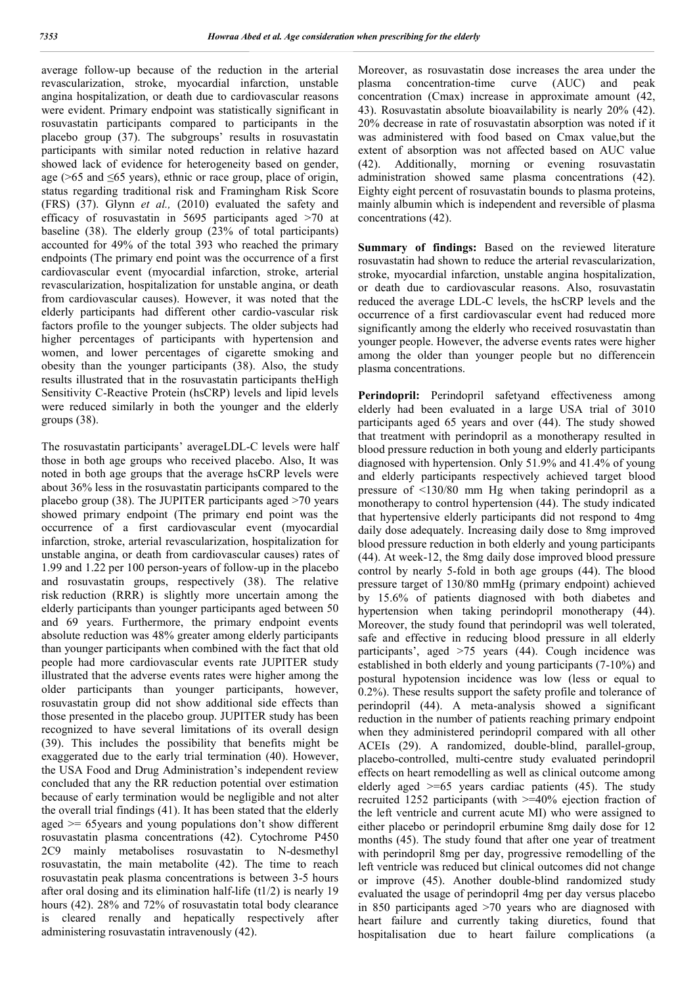average follow-up because of the reduction in the arterial revascularization, stroke, myocardial infarction, unstable angina hospitalization, or death due to cardiovascular reasons were evident. Primary endpoint was statistically significant in rosuvastatin participants compared to participants in the placebo group (37). The subgroups' results in rosuvastatin participants with similar noted reduction in relative hazard showed lack of evidence for heterogeneity based on gender, age (>65 and ≤65 years), ethnic or race group, place of origin, status regarding traditional risk and Framingham Risk Score (FRS) (37). Glynn *et al.,* (2010) evaluated the safety and efficacy of rosuvastatin in 5695 participants aged >70 at baseline (38). The elderly group (23% of total participants) accounted for 49% of the total 393 who reached the primary endpoints (The primary end point was the occurrence of a first cardiovascular event (myocardial infarction, stroke, arterial revascularization, hospitalization for unstable angina, or death from cardiovascular causes). However, it was noted that the elderly participants had different other cardio-vascular risk factors profile to the younger subjects. The older subjects had higher percentages of participants with hypertension and women, and lower percentages of cigarette smoking and obesity than the younger participants (38). Also, the study results illustrated that in the rosuvastatin participants theHigh Sensitivity C-Reactive Protein (hsCRP) levels and lipid levels were reduced similarly in both the younger and the elderly groups (38).

The rosuvastatin participants' averageLDL-C levels were half those in both age groups who received placebo. Also, It was noted in both age groups that the average hsCRP levels were about 36% less in the rosuvastatin participants compared to the placebo group (38). The JUPITER participants aged >70 years showed primary endpoint (The primary end point was the occurrence of a first cardiovascular event (myocardial infarction, stroke, arterial revascularization, hospitalization for unstable angina, or death from cardiovascular causes) rates of 1.99 and 1.22 per 100 person-years of follow-up in the placebo and rosuvastatin groups, respectively (38). The relative risk reduction (RRR) is slightly more uncertain among the elderly participants than younger participants aged between 50 and 69 years. Furthermore, the primary endpoint events absolute reduction was 48% greater among elderly participants than younger participants when combined with the fact that old people had more cardiovascular events rate JUPITER study illustrated that the adverse events rates were higher among the older participants than younger participants, however, rosuvastatin group did not show additional side effects than those presented in the placebo group. JUPITER study has been recognized to have several limitations of its overall design (39). This includes the possibility that benefits might be exaggerated due to the early trial termination (40). However, the USA Food and Drug Administration's independent review concluded that any the RR reduction potential over estimation because of early termination would be negligible and not alter the overall trial findings (41). It has been stated that the elderly aged >= 65years and young populations don't show different rosuvastatin plasma concentrations (42). Cytochrome P450 2C9 mainly metabolises rosuvastatin to N-desmethyl rosuvastatin, the main metabolite (42). The time to reach rosuvastatin peak plasma concentrations is between 3-5 hours after oral dosing and its elimination half-life (t1/2) is nearly 19 hours (42). 28% and 72% of rosuvastatin total body clearance is cleared renally and hepatically respectively after administering rosuvastatin intravenously (42).

Moreover, as rosuvastatin dose increases the area under the plasma concentration-time curve (AUC) and peak concentration (Cmax) increase in approximate amount (42, 43). Rosuvastatin absolute bioavailability is nearly 20% (42). 20% decrease in rate of rosuvastatin absorption was noted if it was administered with food based on Cmax value,but the extent of absorption was not affected based on AUC value (42). Additionally, morning or evening rosuvastatin administration showed same plasma concentrations (42). Eighty eight percent of rosuvastatin bounds to plasma proteins, mainly albumin which is independent and reversible of plasma concentrations (42).

**Summary of findings:** Based on the reviewed literature rosuvastatin had shown to reduce the arterial revascularization, stroke, myocardial infarction, unstable angina hospitalization, or death due to cardiovascular reasons. Also, rosuvastatin reduced the average LDL-C levels, the hsCRP levels and the occurrence of a first cardiovascular event had reduced more significantly among the elderly who received rosuvastatin than younger people. However, the adverse events rates were higher among the older than younger people but no differencein plasma concentrations.

Perindopril: Perindopril safetyand effectiveness among elderly had been evaluated in a large USA trial of 3010 participants aged 65 years and over (44). The study showed that treatment with perindopril as a monotherapy resulted in blood pressure reduction in both young and elderly participants diagnosed with hypertension. Only 51.9% and 41.4% of young and elderly participants respectively achieved target blood pressure of <130/80 mm Hg when taking perindopril as a monotherapy to control hypertension (44). The study indicated that hypertensive elderly participants did not respond to 4mg daily dose adequately. Increasing daily dose to 8mg improved blood pressure reduction in both elderly and young participants (44). At week-12, the 8mg daily dose improved blood pressure control by nearly 5-fold in both age groups (44). The blood pressure target of 130/80 mmHg (primary endpoint) achieved by 15.6% of patients diagnosed with both diabetes and hypertension when taking perindopril monotherapy (44). Moreover, the study found that perindopril was well tolerated, safe and effective in reducing blood pressure in all elderly participants', aged >75 years (44). Cough incidence was established in both elderly and young participants (7-10%) and postural hypotension incidence was low (less or equal to 0.2%). These results support the safety profile and tolerance of perindopril (44). A meta-analysis showed a significant reduction in the number of patients reaching primary endpoint when they administered perindopril compared with all other ACEIs (29). A randomized, double-blind, parallel-group, placebo-controlled, multi-centre study evaluated perindopril effects on heart remodelling as well as clinical outcome among elderly aged  $\geq 65$  years cardiac patients (45). The study recruited 1252 participants (with >=40% ejection fraction of the left ventricle and current acute MI) who were assigned to either placebo or perindopril erbumine 8mg daily dose for 12 months (45). The study found that after one year of treatment with perindopril 8mg per day, progressive remodelling of the left ventricle was reduced but clinical outcomes did not change or improve (45). Another double-blind randomized study evaluated the usage of perindopril 4mg per day versus placebo in 850 participants aged >70 years who are diagnosed with heart failure and currently taking diuretics, found that hospitalisation due to heart failure complications (a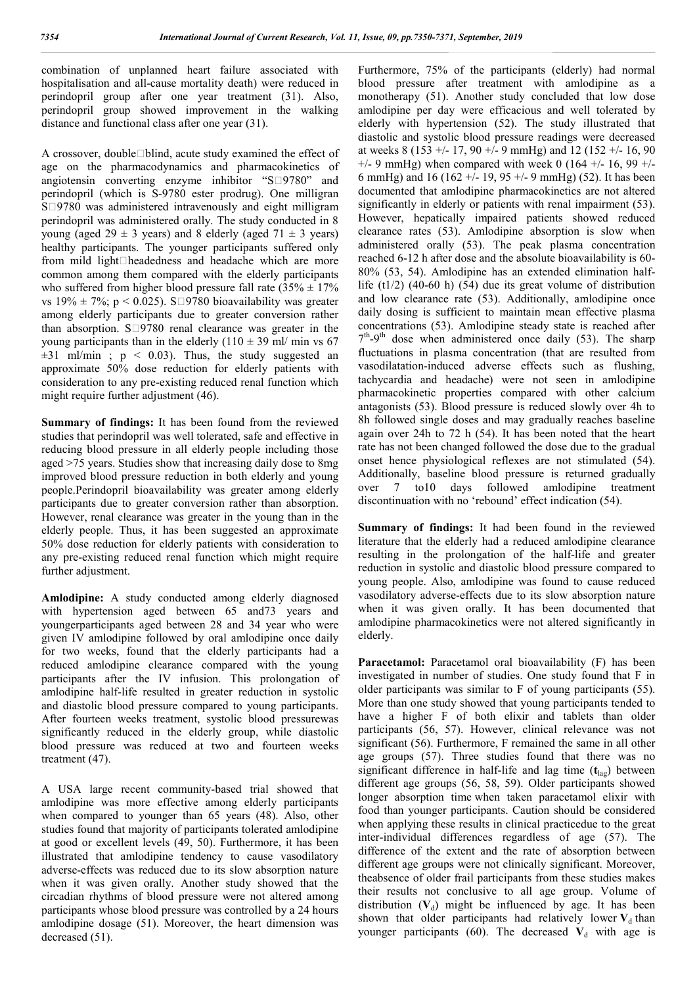combination of unplanned heart failure associated with hospitalisation and all-cause mortality death) were reduced in perindopril group after one year treatment (31). Also, perindopril group showed improvement in the walking distance and functional class after one year (31).

A crossover, double $\Box$ blind, acute study examined the effect of age on the pharmacodynamics and pharmacokinetics of angiotensin converting enzyme inhibitor " $S\square 9780$ " and perindopril (which is S-9780 ester prodrug). One milligran  $S\square$ 9780 was administered intravenously and eight milligram perindopril was administered orally. The study conducted in 8 young (aged  $29 \pm 3$  years) and 8 elderly (aged  $71 \pm 3$  years) healthy participants. The younger participants suffered only from mild light $\square$  headedness and headache which are more common among them compared with the elderly participants who suffered from higher blood pressure fall rate  $(35\% \pm 17\%)$ vs 19%  $\pm$  7%; p < 0.025). S $\square$ 9780 bioavailability was greater among elderly participants due to greater conversion rather than absorption.  $S \square 9780$  renal clearance was greater in the young participants than in the elderly  $(110 \pm 39 \text{ ml/m} \text{m s})$  67  $\pm 31$  ml/min ; p < 0.03). Thus, the study suggested an approximate 50% dose reduction for elderly patients with consideration to any pre-existing reduced renal function which might require further adjustment (46).

**Summary of findings:** It has been found from the reviewed studies that perindopril was well tolerated, safe and effective in reducing blood pressure in all elderly people including those aged >75 years. Studies show that increasing daily dose to 8mg improved blood pressure reduction in both elderly and young people.Perindopril bioavailability was greater among elderly participants due to greater conversion rather than absorption. However, renal clearance was greater in the young than in the elderly people. Thus, it has been suggested an approximate 50% dose reduction for elderly patients with consideration to any pre-existing reduced renal function which might require further adjustment.

**Amlodipine:** A study conducted among elderly diagnosed with hypertension aged between 65 and 73 years and youngerparticipants aged between 28 and 34 year who were given IV amlodipine followed by oral amlodipine once daily for two weeks, found that the elderly participants had a reduced amlodipine clearance compared with the young participants after the IV infusion. This prolongation of amlodipine half-life resulted in greater reduction in systolic and diastolic blood pressure compared to young participants. After fourteen weeks treatment, systolic blood pressurewas significantly reduced in the elderly group, while diastolic blood pressure was reduced at two and fourteen weeks treatment (47).

A USA large recent community-based trial showed that amlodipine was more effective among elderly participants when compared to younger than 65 years (48). Also, other studies found that majority of participants tolerated amlodipine at good or excellent levels (49, 50). Furthermore, it has been illustrated that amlodipine tendency to cause vasodilatory adverse-effects was reduced due to its slow absorption nature when it was given orally. Another study showed that the circadian rhythms of blood pressure were not altered among participants whose blood pressure was controlled by a 24 hours amlodipine dosage (51). Moreover, the heart dimension was decreased (51).

Furthermore, 75% of the participants (elderly) had normal blood pressure after treatment with amlodipine as a monotherapy (51). Another study concluded that low dose amlodipine per day were efficacious and well tolerated by elderly with hypertension (52). The study illustrated that diastolic and systolic blood pressure readings were decreased at weeks 8 (153 +/- 17, 90 +/- 9 mmHg) and 12 (152 +/- 16, 90  $+/-$  9 mmHg) when compared with week 0 (164  $+/-$  16, 99  $+/-$ 6 mmHg) and 16 (162 +/- 19, 95 +/- 9 mmHg) (52). It has been documented that amlodipine pharmacokinetics are not altered significantly in elderly or patients with renal impairment (53). However, hepatically impaired patients showed reduced clearance rates (53). Amlodipine absorption is slow when administered orally (53). The peak plasma concentration reached 6-12 h after dose and the absolute bioavailability is 60- 80% (53, 54). Amlodipine has an extended elimination halflife  $(t1/2)$  (40-60 h) (54) due its great volume of distribution and low clearance rate (53). Additionally, amlodipine once daily dosing is sufficient to maintain mean effective plasma concentrations (53). Amlodipine steady state is reached after  $7<sup>th</sup>$ -9<sup>th</sup> dose when administered once daily (53). The sharp fluctuations in plasma concentration (that are resulted from vasodilatation-induced adverse effects such as flushing, tachycardia and headache) were not seen in amlodipine pharmacokinetic properties compared with other calcium antagonists (53). Blood pressure is reduced slowly over 4h to 8h followed single doses and may gradually reaches baseline again over 24h to 72 h (54). It has been noted that the heart rate has not been changed followed the dose due to the gradual onset hence physiological reflexes are not stimulated (54). Additionally, baseline blood pressure is returned gradually over 7 to10 days followed amlodipine treatment discontinuation with no 'rebound' effect indication (54).

**Summary of findings:** It had been found in the reviewed literature that the elderly had a reduced amlodipine clearance resulting in the prolongation of the half-life and greater reduction in systolic and diastolic blood pressure compared to young people. Also, amlodipine was found to cause reduced vasodilatory adverse-effects due to its slow absorption nature when it was given orally. It has been documented that amlodipine pharmacokinetics were not altered significantly in elderly.

Paracetamol: Paracetamol oral bioavailability (F) has been investigated in number of studies. One study found that F in older participants was similar to F of young participants (55). More than one study showed that young participants tended to have a higher F of both elixir and tablets than older participants (56, 57). However, clinical relevance was not significant (56). Furthermore, F remained the same in all other age groups (57). Three studies found that there was no significant difference in half-life and lag time ( $t<sub>lag</sub>$ ) between different age groups (56, 58, 59). Older participants showed longer absorption time when taken paracetamol elixir with food than younger participants. Caution should be considered when applying these results in clinical practicedue to the great inter-individual differences regardless of age (57). The difference of the extent and the rate of absorption between different age groups were not clinically significant. Moreover, theabsence of older frail participants from these studies makes their results not conclusive to all age group. Volume of distribution  $(V_d)$  might be influenced by age. It has been shown that older participants had relatively lower  $V_d$  than younger participants (60). The decreased  $V<sub>d</sub>$  with age is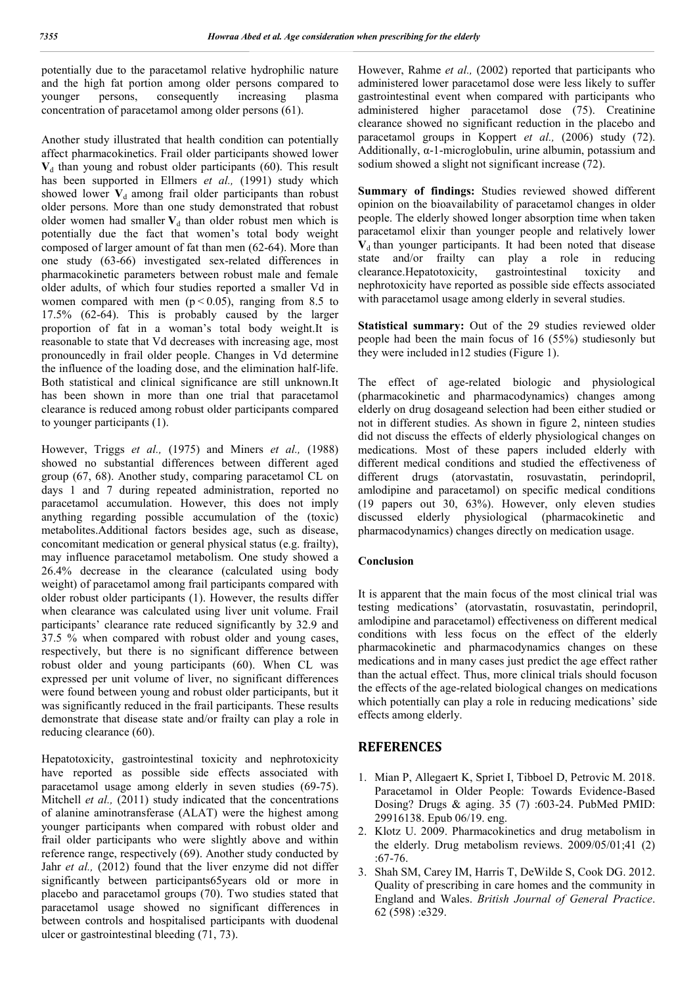potentially due to the paracetamol relative hydrophilic nature and the high fat portion among older persons compared to younger persons, consequently increasing plasma concentration of paracetamol among older persons (61).

Another study illustrated that health condition can potentially affect pharmacokinetics. Frail older participants showed lower  $V<sub>d</sub>$  than young and robust older participants (60). This result has been supported in Ellmers *et al.,* (1991) study which showed lower  $V_d$  among frail older participants than robust older persons. More than one study demonstrated that robust older women had smaller  $V_d$  than older robust men which is potentially due the fact that women's total body weight composed of larger amount of fat than men (62-64). More than one study (63-66) investigated sex-related differences in pharmacokinetic parameters between robust male and female older adults, of which four studies reported a smaller Vd in women compared with men  $(p < 0.05)$ , ranging from 8.5 to 17.5% (62-64). This is probably caused by the larger proportion of fat in a woman's total body weight.It is reasonable to state that Vd decreases with increasing age, most pronouncedly in frail older people. Changes in Vd determine the influence of the loading dose, and the elimination half-life. Both statistical and clinical significance are still unknown.It has been shown in more than one trial that paracetamol clearance is reduced among robust older participants compared to younger participants (1).

However, Triggs *et al.,* (1975) and Miners *et al.,* (1988) showed no substantial differences between different aged group (67, 68). Another study, comparing paracetamol CL on days 1 and 7 during repeated administration, reported no paracetamol accumulation. However, this does not imply anything regarding possible accumulation of the (toxic) metabolites.Additional factors besides age, such as disease, concomitant medication or general physical status (e.g. frailty), may influence paracetamol metabolism. One study showed a 26.4% decrease in the clearance (calculated using body weight) of paracetamol among frail participants compared with older robust older participants (1). However, the results differ when clearance was calculated using liver unit volume. Frail participants' clearance rate reduced significantly by 32.9 and 37.5 % when compared with robust older and young cases, respectively, but there is no significant difference between robust older and young participants (60). When CL was expressed per unit volume of liver, no significant differences were found between young and robust older participants, but it was significantly reduced in the frail participants. These results demonstrate that disease state and/or frailty can play a role in reducing clearance (60).

Hepatotoxicity, gastrointestinal toxicity and nephrotoxicity have reported as possible side effects associated with paracetamol usage among elderly in seven studies (69-75). Mitchell *et al.*, (2011) study indicated that the concentrations of alanine aminotransferase (ALAT) were the highest among younger participants when compared with robust older and frail older participants who were slightly above and within reference range, respectively (69). Another study conducted by Jahr *et al.*, (2012) found that the liver enzyme did not differ significantly between participants65years old or more in placebo and paracetamol groups (70). Two studies stated that paracetamol usage showed no significant differences in between controls and hospitalised participants with duodenal ulcer or gastrointestinal bleeding (71, 73).

However, Rahme *et al.,* (2002) reported that participants who administered lower paracetamol dose were less likely to suffer gastrointestinal event when compared with participants who administered higher paracetamol dose (75). Creatinine clearance showed no significant reduction in the placebo and paracetamol groups in Koppert *et al.,* (2006) study (72). Additionally,  $\alpha$ -1-microglobulin, urine albumin, potassium and sodium showed a slight not significant increase (72).

**Summary of findings:** Studies reviewed showed different opinion on the bioavailability of paracetamol changes in older people. The elderly showed longer absorption time when taken paracetamol elixir than younger people and relatively lower  $V<sub>d</sub>$  than younger participants. It had been noted that disease state and/or frailty can play a role in reducing clearance.Hepatotoxicity, gastrointestinal toxicity and nephrotoxicity have reported as possible side effects associated with paracetamol usage among elderly in several studies.

**Statistical summary:** Out of the 29 studies reviewed older people had been the main focus of 16 (55%) studiesonly but they were included in12 studies (Figure 1).

The effect of age-related biologic and physiological (pharmacokinetic and pharmacodynamics) changes among elderly on drug dosageand selection had been either studied or not in different studies. As shown in figure 2, ninteen studies did not discuss the effects of elderly physiological changes on medications. Most of these papers included elderly with different medical conditions and studied the effectiveness of different drugs (atorvastatin, rosuvastatin, perindopril, amlodipine and paracetamol) on specific medical conditions (19 papers out 30, 63%). However, only eleven studies discussed elderly physiological (pharmacokinetic and pharmacodynamics) changes directly on medication usage.

#### **Conclusion**

It is apparent that the main focus of the most clinical trial was testing medications' (atorvastatin, rosuvastatin, perindopril, amlodipine and paracetamol) effectiveness on different medical conditions with less focus on the effect of the elderly pharmacokinetic and pharmacodynamics changes on these medications and in many cases just predict the age effect rather than the actual effect. Thus, more clinical trials should focuson the effects of the age-related biological changes on medications which potentially can play a role in reducing medications' side effects among elderly.

#### **REFERENCES**

- 1. Mian P, Allegaert K, Spriet I, Tibboel D, Petrovic M. 2018. Paracetamol in Older People: Towards Evidence-Based Dosing? Drugs & aging. 35 (7) :603-24. PubMed PMID: 29916138. Epub 06/19. eng.
- 2. Klotz U. 2009. Pharmacokinetics and drug metabolism in the elderly. Drug metabolism reviews. 2009/05/01;41 (2) :67-76.
- 3. Shah SM, Carey IM, Harris T, DeWilde S, Cook DG. 2012. Quality of prescribing in care homes and the community in England and Wales. *British Journal of General Practice*. 62 (598) :e329.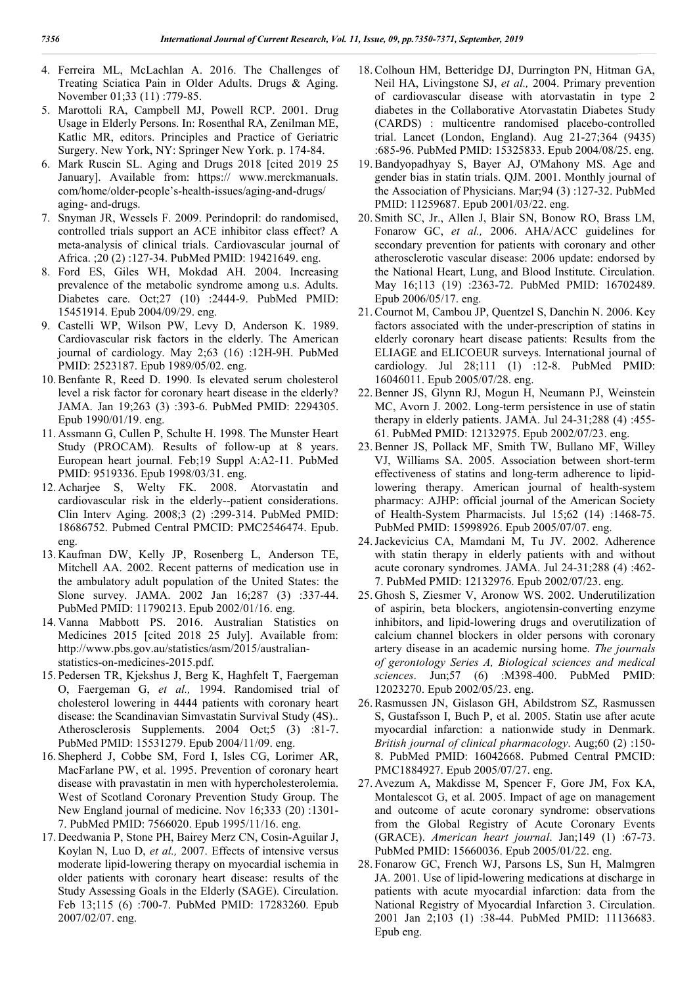- 4. Ferreira ML, McLachlan A. 2016. The Challenges of Treating Sciatica Pain in Older Adults. Drugs & Aging. November 01;33 (11) :779-85.
- 5. Marottoli RA, Campbell MJ, Powell RCP. 2001. Drug Usage in Elderly Persons. In: Rosenthal RA, Zenilman ME, Katlic MR, editors. Principles and Practice of Geriatric Surgery. New York, NY: Springer New York. p. 174-84.
- 6. Mark Ruscin SL. Aging and Drugs 2018 [cited 2019 25 January]. Available from: https:// www.merckmanuals. com/home/older-people's-health-issues/aging-and-drugs/ aging- and-drugs.
- 7. Snyman JR, Wessels F. 2009. Perindopril: do randomised, controlled trials support an ACE inhibitor class effect? A meta-analysis of clinical trials. Cardiovascular journal of Africa. ;20 (2) :127-34. PubMed PMID: 19421649. eng.
- 8. Ford ES, Giles WH, Mokdad AH. 2004. Increasing prevalence of the metabolic syndrome among u.s. Adults. Diabetes care. Oct;27 (10) :2444-9. PubMed PMID: 15451914. Epub 2004/09/29. eng.
- 9. Castelli WP, Wilson PW, Levy D, Anderson K. 1989. Cardiovascular risk factors in the elderly. The American journal of cardiology. May 2;63 (16) :12H-9H. PubMed PMID: 2523187. Epub 1989/05/02. eng.
- 10.Benfante R, Reed D. 1990. Is elevated serum cholesterol level a risk factor for coronary heart disease in the elderly? JAMA. Jan 19;263 (3) :393-6. PubMed PMID: 2294305. Epub 1990/01/19. eng.
- 11. Assmann G, Cullen P, Schulte H. 1998. The Munster Heart Study (PROCAM). Results of follow-up at 8 years. European heart journal. Feb;19 Suppl A:A2-11. PubMed PMID: 9519336. Epub 1998/03/31. eng.
- 12. Acharjee S, Welty FK. 2008. Atorvastatin and cardiovascular risk in the elderly--patient considerations. Clin Interv Aging. 2008;3 (2) :299-314. PubMed PMID: 18686752. Pubmed Central PMCID: PMC2546474. Epub. eng.
- 13. Kaufman DW, Kelly JP, Rosenberg L, Anderson TE, Mitchell AA. 2002. Recent patterns of medication use in the ambulatory adult population of the United States: the Slone survey. JAMA. 2002 Jan 16;287 (3) :337-44. PubMed PMID: 11790213. Epub 2002/01/16. eng.
- 14. Vanna Mabbott PS. 2016. Australian Statistics on Medicines 2015 [cited 2018 25 July]. Available from: http://www.pbs.gov.au/statistics/asm/2015/australianstatistics-on-medicines-2015.pdf.
- 15. Pedersen TR, Kjekshus J, Berg K, Haghfelt T, Faergeman O, Faergeman G, *et al.,* 1994. Randomised trial of cholesterol lowering in 4444 patients with coronary heart disease: the Scandinavian Simvastatin Survival Study (4S).. Atherosclerosis Supplements. 2004 Oct;5 (3) :81-7. PubMed PMID: 15531279. Epub 2004/11/09. eng.
- 16. Shepherd J, Cobbe SM, Ford I, Isles CG, Lorimer AR, MacFarlane PW, et al. 1995. Prevention of coronary heart disease with pravastatin in men with hypercholesterolemia. West of Scotland Coronary Prevention Study Group. The New England journal of medicine. Nov 16;333 (20) :1301- 7. PubMed PMID: 7566020. Epub 1995/11/16. eng.
- 17. Deedwania P, Stone PH, Bairey Merz CN, Cosin-Aguilar J, Koylan N, Luo D, *et al.,* 2007. Effects of intensive versus moderate lipid-lowering therapy on myocardial ischemia in older patients with coronary heart disease: results of the Study Assessing Goals in the Elderly (SAGE). Circulation. Feb 13;115 (6) :700-7. PubMed PMID: 17283260. Epub 2007/02/07. eng.
- 18.Colhoun HM, Betteridge DJ, Durrington PN, Hitman GA, Neil HA, Livingstone SJ, *et al.,* 2004. Primary prevention of cardiovascular disease with atorvastatin in type 2 diabetes in the Collaborative Atorvastatin Diabetes Study (CARDS) : multicentre randomised placebo-controlled trial. Lancet (London, England). Aug 21-27;364 (9435) :685-96. PubMed PMID: 15325833. Epub 2004/08/25. eng.
- 19.Bandyopadhyay S, Bayer AJ, O'Mahony MS. Age and gender bias in statin trials. QJM. 2001. Monthly journal of the Association of Physicians. Mar;94 (3) :127-32. PubMed PMID: 11259687. Epub 2001/03/22. eng.
- 20. Smith SC, Jr., Allen J, Blair SN, Bonow RO, Brass LM, Fonarow GC, *et al.,* 2006. AHA/ACC guidelines for secondary prevention for patients with coronary and other atherosclerotic vascular disease: 2006 update: endorsed by the National Heart, Lung, and Blood Institute. Circulation. May 16;113 (19) :2363-72. PubMed PMID: 16702489. Epub 2006/05/17. eng.
- 21.Cournot M, Cambou JP, Quentzel S, Danchin N. 2006. Key factors associated with the under-prescription of statins in elderly coronary heart disease patients: Results from the ELIAGE and ELICOEUR surveys. International journal of cardiology. Jul 28;111 (1) :12-8. PubMed PMID: 16046011. Epub 2005/07/28. eng.
- 22.Benner JS, Glynn RJ, Mogun H, Neumann PJ, Weinstein MC, Avorn J. 2002. Long-term persistence in use of statin therapy in elderly patients. JAMA. Jul 24-31;288 (4) :455- 61. PubMed PMID: 12132975. Epub 2002/07/23. eng.
- 23.Benner JS, Pollack MF, Smith TW, Bullano MF, Willey VJ, Williams SA. 2005. Association between short-term effectiveness of statins and long-term adherence to lipidlowering therapy. American journal of health-system pharmacy: AJHP: official journal of the American Society of Health-System Pharmacists. Jul 15;62 (14) :1468-75. PubMed PMID: 15998926. Epub 2005/07/07. eng.
- 24.Jackevicius CA, Mamdani M, Tu JV. 2002. Adherence with statin therapy in elderly patients with and without acute coronary syndromes. JAMA. Jul 24-31;288 (4) :462- 7. PubMed PMID: 12132976. Epub 2002/07/23. eng.
- 25. Ghosh S, Ziesmer V, Aronow WS. 2002. Underutilization of aspirin, beta blockers, angiotensin-converting enzyme inhibitors, and lipid-lowering drugs and overutilization of calcium channel blockers in older persons with coronary artery disease in an academic nursing home. *The journals of gerontology Series A, Biological sciences and medical sciences*. Jun;57 (6) :M398-400. PubMed PMID: 12023270. Epub 2002/05/23. eng.
- 26.Rasmussen JN, Gislason GH, Abildstrom SZ, Rasmussen S, Gustafsson I, Buch P, et al. 2005. Statin use after acute myocardial infarction: a nationwide study in Denmark. *British journal of clinical pharmacology*. Aug;60 (2) :150- 8. PubMed PMID: 16042668. Pubmed Central PMCID: PMC1884927. Epub 2005/07/27. eng.
- 27. Avezum A, Makdisse M, Spencer F, Gore JM, Fox KA, Montalescot G, et al. 2005. Impact of age on management and outcome of acute coronary syndrome: observations from the Global Registry of Acute Coronary Events (GRACE). *American heart journal*. Jan;149 (1) :67-73. PubMed PMID: 15660036. Epub 2005/01/22. eng.
- 28. Fonarow GC, French WJ, Parsons LS, Sun H, Malmgren JA. 2001. Use of lipid-lowering medications at discharge in patients with acute myocardial infarction: data from the National Registry of Myocardial Infarction 3. Circulation. 2001 Jan 2;103 (1) :38-44. PubMed PMID: 11136683. Epub eng.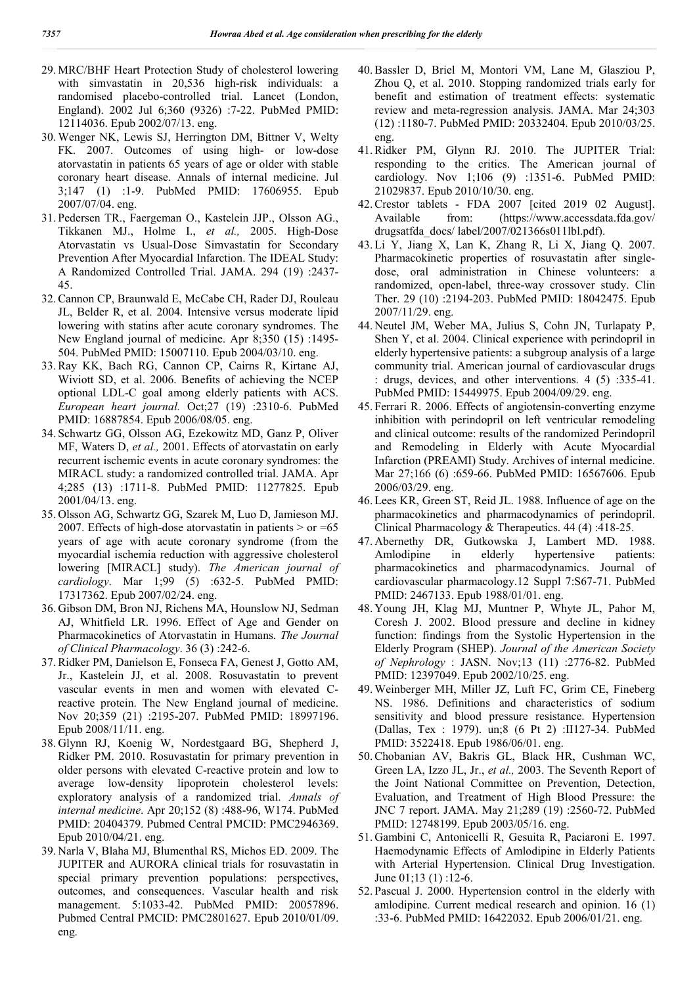- 29. MRC/BHF Heart Protection Study of cholesterol lowering with simvastatin in 20,536 high-risk individuals: a randomised placebo-controlled trial. Lancet (London, England). 2002 Jul 6;360 (9326) :7-22. PubMed PMID: 12114036. Epub 2002/07/13. eng.
- 30. Wenger NK, Lewis SJ, Herrington DM, Bittner V, Welty FK. 2007. Outcomes of using high- or low-dose atorvastatin in patients 65 years of age or older with stable coronary heart disease. Annals of internal medicine. Jul 3;147 (1) :1-9. PubMed PMID: 17606955. Epub 2007/07/04. eng.
- 31. Pedersen TR., Faergeman O., Kastelein JJP., Olsson AG., Tikkanen MJ., Holme I., *et al.,* 2005. High-Dose Atorvastatin vs Usual-Dose Simvastatin for Secondary Prevention After Myocardial Infarction. The IDEAL Study: A Randomized Controlled Trial. JAMA. 294 (19) :2437- 45.
- 32.Cannon CP, Braunwald E, McCabe CH, Rader DJ, Rouleau JL, Belder R, et al. 2004. Intensive versus moderate lipid lowering with statins after acute coronary syndromes. The New England journal of medicine. Apr 8;350 (15) :1495- 504. PubMed PMID: 15007110. Epub 2004/03/10. eng.
- 33.Ray KK, Bach RG, Cannon CP, Cairns R, Kirtane AJ, Wiviott SD, et al. 2006. Benefits of achieving the NCEP optional LDL-C goal among elderly patients with ACS. *European heart journal.* Oct;27 (19) :2310-6. PubMed PMID: 16887854. Epub 2006/08/05. eng.
- 34. Schwartz GG, Olsson AG, Ezekowitz MD, Ganz P, Oliver MF, Waters D, *et al.,* 2001. Effects of atorvastatin on early recurrent ischemic events in acute coronary syndromes: the MIRACL study: a randomized controlled trial. JAMA. Apr 4;285 (13) :1711-8. PubMed PMID: 11277825. Epub 2001/04/13. eng.
- 35. Olsson AG, Schwartz GG, Szarek M, Luo D, Jamieson MJ. 2007. Effects of high-dose atorvastatin in patients  $>$  or  $=65$ years of age with acute coronary syndrome (from the myocardial ischemia reduction with aggressive cholesterol lowering [MIRACL] study). *The American journal of cardiology*. Mar 1;99 (5) :632-5. PubMed PMID: 17317362. Epub 2007/02/24. eng.
- 36. Gibson DM, Bron NJ, Richens MA, Hounslow NJ, Sedman AJ, Whitfield LR. 1996. Effect of Age and Gender on Pharmacokinetics of Atorvastatin in Humans. *The Journal of Clinical Pharmacology*. 36 (3) :242-6.
- 37.Ridker PM, Danielson E, Fonseca FA, Genest J, Gotto AM, Jr., Kastelein JJ, et al. 2008. Rosuvastatin to prevent vascular events in men and women with elevated Creactive protein. The New England journal of medicine. Nov 20;359 (21) :2195-207. PubMed PMID: 18997196. Epub 2008/11/11. eng.
- 38. Glynn RJ, Koenig W, Nordestgaard BG, Shepherd J, Ridker PM. 2010. Rosuvastatin for primary prevention in older persons with elevated C-reactive protein and low to average low-density lipoprotein cholesterol levels: exploratory analysis of a randomized trial. *Annals of internal medicine*. Apr 20;152 (8) :488-96, W174. PubMed PMID: 20404379. Pubmed Central PMCID: PMC2946369. Epub 2010/04/21. eng.
- 39. Narla V, Blaha MJ, Blumenthal RS, Michos ED. 2009. The JUPITER and AURORA clinical trials for rosuvastatin in special primary prevention populations: perspectives, outcomes, and consequences. Vascular health and risk management. 5:1033-42. PubMed PMID: 20057896. Pubmed Central PMCID: PMC2801627. Epub 2010/01/09. eng.
- 40.Bassler D, Briel M, Montori VM, Lane M, Glasziou P, Zhou Q, et al. 2010. Stopping randomized trials early for benefit and estimation of treatment effects: systematic review and meta-regression analysis. JAMA. Mar 24;303 (12) :1180-7. PubMed PMID: 20332404. Epub 2010/03/25. eng.
- 41.Ridker PM, Glynn RJ. 2010. The JUPITER Trial: responding to the critics. The American journal of cardiology. Nov 1;106 (9) :1351-6. PubMed PMID: 21029837. Epub 2010/10/30. eng.
- 42.Crestor tablets FDA 2007 [cited 2019 02 August]. Available from: (https://www.accessdata.fda.gov/ drugsatfda\_docs/ label/2007/021366s011lbl.pdf).
- 43. Li Y, Jiang X, Lan K, Zhang R, Li X, Jiang Q. 2007. Pharmacokinetic properties of rosuvastatin after singledose, oral administration in Chinese volunteers: a randomized, open-label, three-way crossover study. Clin Ther. 29 (10) :2194-203. PubMed PMID: 18042475. Epub 2007/11/29. eng.
- 44. Neutel JM, Weber MA, Julius S, Cohn JN, Turlapaty P, Shen Y, et al. 2004. Clinical experience with perindopril in elderly hypertensive patients: a subgroup analysis of a large community trial. American journal of cardiovascular drugs : drugs, devices, and other interventions. 4 (5) :335-41. PubMed PMID: 15449975. Epub 2004/09/29. eng.
- 45. Ferrari R. 2006. Effects of angiotensin-converting enzyme inhibition with perindopril on left ventricular remodeling and clinical outcome: results of the randomized Perindopril and Remodeling in Elderly with Acute Myocardial Infarction (PREAMI) Study. Archives of internal medicine. Mar 27;166 (6) :659-66. PubMed PMID: 16567606. Epub 2006/03/29. eng.
- 46. Lees KR, Green ST, Reid JL. 1988. Influence of age on the pharmacokinetics and pharmacodynamics of perindopril. Clinical Pharmacology & Therapeutics. 44 (4) :418-25.
- 47. Abernethy DR, Gutkowska J, Lambert MD. 1988. Amlodipine in elderly hypertensive patients: pharmacokinetics and pharmacodynamics. Journal of cardiovascular pharmacology.12 Suppl 7:S67-71. PubMed PMID: 2467133. Epub 1988/01/01. eng.
- 48. Young JH, Klag MJ, Muntner P, Whyte JL, Pahor M, Coresh J. 2002. Blood pressure and decline in kidney function: findings from the Systolic Hypertension in the Elderly Program (SHEP). *Journal of the American Society of Nephrology* : JASN. Nov;13 (11) :2776-82. PubMed PMID: 12397049. Epub 2002/10/25. eng.
- 49. Weinberger MH, Miller JZ, Luft FC, Grim CE, Fineberg NS. 1986. Definitions and characteristics of sodium sensitivity and blood pressure resistance. Hypertension (Dallas, Tex : 1979). un;8 (6 Pt 2) :II127-34. PubMed PMID: 3522418. Epub 1986/06/01. eng.
- 50.Chobanian AV, Bakris GL, Black HR, Cushman WC, Green LA, Izzo JL, Jr., *et al.,* 2003. The Seventh Report of the Joint National Committee on Prevention, Detection, Evaluation, and Treatment of High Blood Pressure: the JNC 7 report. JAMA. May 21;289 (19) :2560-72. PubMed PMID: 12748199. Epub 2003/05/16. eng.
- 51. Gambini C, Antonicelli R, Gesuita R, Paciaroni E. 1997. Haemodynamic Effects of Amlodipine in Elderly Patients with Arterial Hypertension. Clinical Drug Investigation. June 01;13 (1) :12-6.
- 52. Pascual J. 2000. Hypertension control in the elderly with amlodipine. Current medical research and opinion. 16 (1) :33-6. PubMed PMID: 16422032. Epub 2006/01/21. eng.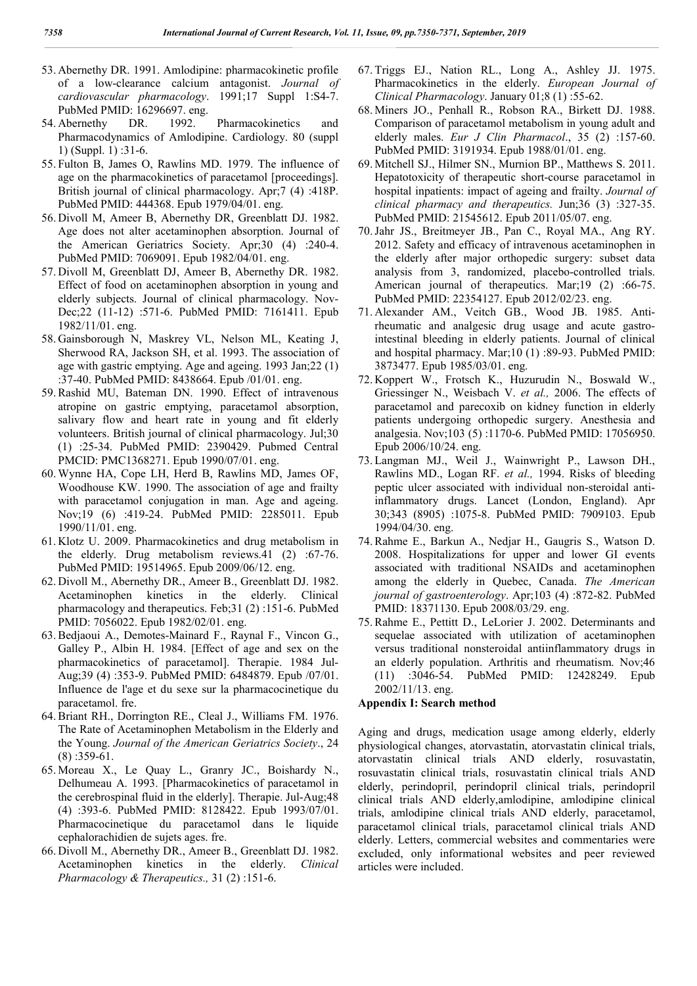- 53. Abernethy DR. 1991. Amlodipine: pharmacokinetic profile of a low-clearance calcium antagonist. *Journal of cardiovascular pharmacology*. 1991;17 Suppl 1:S4-7. PubMed PMID: 16296697. eng.
- 54. Abernethy DR. 1992. Pharmacokinetics and Pharmacodynamics of Amlodipine. Cardiology. 80 (suppl 1) (Suppl. 1) :31-6.
- 55. Fulton B, James O, Rawlins MD. 1979. The influence of age on the pharmacokinetics of paracetamol [proceedings]. British journal of clinical pharmacology. Apr;7 (4) :418P. PubMed PMID: 444368. Epub 1979/04/01. eng.
- 56. Divoll M, Ameer B, Abernethy DR, Greenblatt DJ. 1982. Age does not alter acetaminophen absorption. Journal of the American Geriatrics Society. Apr;30 (4) :240-4. PubMed PMID: 7069091. Epub 1982/04/01. eng.
- 57. Divoll M, Greenblatt DJ, Ameer B, Abernethy DR. 1982. Effect of food on acetaminophen absorption in young and elderly subjects. Journal of clinical pharmacology. Nov-Dec;22 (11-12) :571-6. PubMed PMID: 7161411. Epub 1982/11/01. eng.
- 58. Gainsborough N, Maskrey VL, Nelson ML, Keating J, Sherwood RA, Jackson SH, et al. 1993. The association of age with gastric emptying. Age and ageing. 1993 Jan;22 (1) :37-40. PubMed PMID: 8438664. Epub /01/01. eng.
- 59.Rashid MU, Bateman DN. 1990. Effect of intravenous atropine on gastric emptying, paracetamol absorption, salivary flow and heart rate in young and fit elderly volunteers. British journal of clinical pharmacology. Jul;30 (1) :25-34. PubMed PMID: 2390429. Pubmed Central PMCID: PMC1368271. Epub 1990/07/01. eng.
- 60. Wynne HA, Cope LH, Herd B, Rawlins MD, James OF, Woodhouse KW. 1990. The association of age and frailty with paracetamol conjugation in man. Age and ageing. Nov;19 (6) :419-24. PubMed PMID: 2285011. Epub 1990/11/01. eng.
- 61. Klotz U. 2009. Pharmacokinetics and drug metabolism in the elderly. Drug metabolism reviews.41 (2) :67-76. PubMed PMID: 19514965. Epub 2009/06/12. eng.
- 62. Divoll M., Abernethy DR., Ameer B., Greenblatt DJ. 1982. Acetaminophen kinetics in the elderly. Clinical pharmacology and therapeutics. Feb;31 (2) :151-6. PubMed PMID: 7056022. Epub 1982/02/01. eng.
- 63.Bedjaoui A., Demotes-Mainard F., Raynal F., Vincon G., Galley P., Albin H. 1984. [Effect of age and sex on the pharmacokinetics of paracetamol]. Therapie. 1984 Jul-Aug;39 (4) :353-9. PubMed PMID: 6484879. Epub /07/01. Influence de l'age et du sexe sur la pharmacocinetique du paracetamol. fre.
- 64.Briant RH., Dorrington RE., Cleal J., Williams FM. 1976. The Rate of Acetaminophen Metabolism in the Elderly and the Young. *Journal of the American Geriatrics Society*., 24 (8) :359-61.
- 65. Moreau X., Le Quay L., Granry JC., Boishardy N., Delhumeau A. 1993. [Pharmacokinetics of paracetamol in the cerebrospinal fluid in the elderly]. Therapie. Jul-Aug;48 (4) :393-6. PubMed PMID: 8128422. Epub 1993/07/01. Pharmacocinetique du paracetamol dans le liquide cephalorachidien de sujets ages. fre.
- 66. Divoll M., Abernethy DR., Ameer B., Greenblatt DJ. 1982. Acetaminophen kinetics in the elderly. *Clinical Pharmacology & Therapeutics.,* 31 (2) :151-6.
- 67. Triggs EJ., Nation RL., Long A., Ashley JJ. 1975. Pharmacokinetics in the elderly. *European Journal of Clinical Pharmacology*. January 01;8 (1) :55-62.
- 68. Miners JO., Penhall R., Robson RA., Birkett DJ. 1988. Comparison of paracetamol metabolism in young adult and elderly males. *Eur J Clin Pharmacol*., 35 (2) :157-60. PubMed PMID: 3191934. Epub 1988/01/01. eng.
- 69. Mitchell SJ., Hilmer SN., Murnion BP., Matthews S. 2011. Hepatotoxicity of therapeutic short-course paracetamol in hospital inpatients: impact of ageing and frailty. *Journal of clinical pharmacy and therapeutics.* Jun;36 (3) :327-35. PubMed PMID: 21545612. Epub 2011/05/07. eng.
- 70.Jahr JS., Breitmeyer JB., Pan C., Royal MA., Ang RY. 2012. Safety and efficacy of intravenous acetaminophen in the elderly after major orthopedic surgery: subset data analysis from 3, randomized, placebo-controlled trials. American journal of therapeutics. Mar;19 (2) :66-75. PubMed PMID: 22354127. Epub 2012/02/23. eng.
- 71. Alexander AM., Veitch GB., Wood JB. 1985. Antirheumatic and analgesic drug usage and acute gastrointestinal bleeding in elderly patients. Journal of clinical and hospital pharmacy. Mar;10 (1) :89-93. PubMed PMID: 3873477. Epub 1985/03/01. eng.
- 72. Koppert W., Frotsch K., Huzurudin N., Boswald W., Griessinger N., Weisbach V. *et al.,* 2006. The effects of paracetamol and parecoxib on kidney function in elderly patients undergoing orthopedic surgery. Anesthesia and analgesia. Nov;103 (5) :1170-6. PubMed PMID: 17056950. Epub 2006/10/24. eng.
- 73. Langman MJ., Weil J., Wainwright P., Lawson DH., Rawlins MD., Logan RF. *et al.,* 1994. Risks of bleeding peptic ulcer associated with individual non-steroidal antiinflammatory drugs. Lancet (London, England). Apr 30;343 (8905) :1075-8. PubMed PMID: 7909103. Epub 1994/04/30. eng.
- 74.Rahme E., Barkun A., Nedjar H., Gaugris S., Watson D. 2008. Hospitalizations for upper and lower GI events associated with traditional NSAIDs and acetaminophen among the elderly in Quebec, Canada. *The American journal of gastroenterology*. Apr;103 (4) :872-82. PubMed PMID: 18371130. Epub 2008/03/29. eng.
- 75.Rahme E., Pettitt D., LeLorier J. 2002. Determinants and sequelae associated with utilization of acetaminophen versus traditional nonsteroidal antiinflammatory drugs in an elderly population. Arthritis and rheumatism. Nov;46 (11) :3046-54. PubMed PMID: 12428249. Epub 2002/11/13. eng.

## **Appendix I: Search method**

Aging and drugs, medication usage among elderly, elderly physiological changes, atorvastatin, atorvastatin clinical trials, atorvastatin clinical trials AND elderly, rosuvastatin, rosuvastatin clinical trials, rosuvastatin clinical trials AND elderly, perindopril, perindopril clinical trials, perindopril clinical trials AND elderly,amlodipine, amlodipine clinical trials, amlodipine clinical trials AND elderly, paracetamol, paracetamol clinical trials, paracetamol clinical trials AND elderly. Letters, commercial websites and commentaries were excluded, only informational websites and peer reviewed articles were included.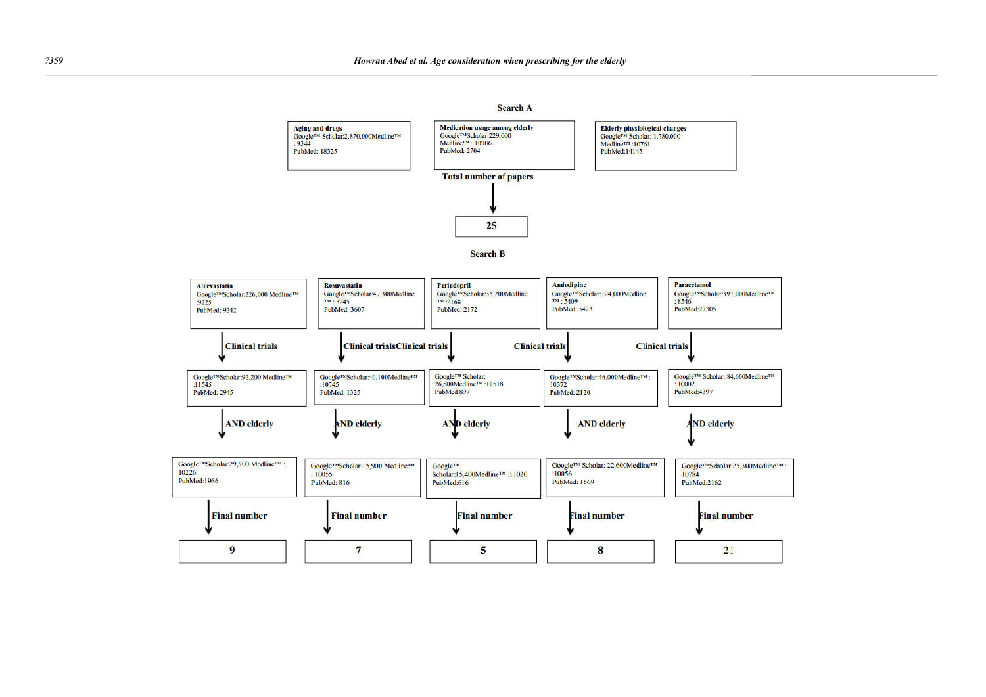#### **Search A**





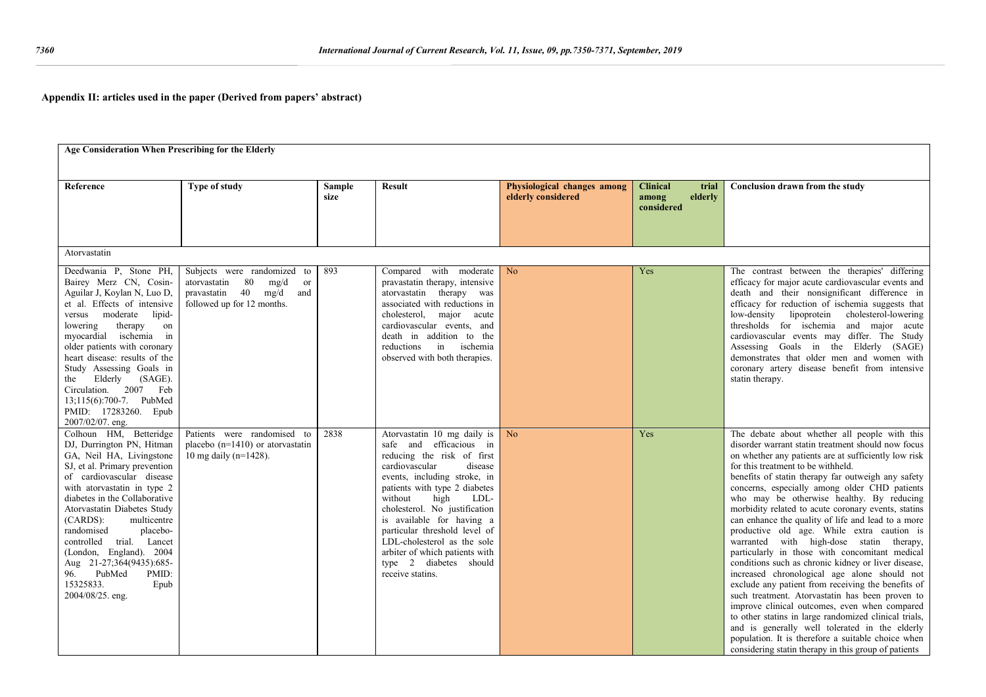## **Appendix II: articles used in the paper (Derived from papers' abstract)**

|                                                                                                                                                                                                                                                                                                                                                                                                                                                            | Age Consideration When Prescribing for the Elderly                                                                          |      |                                                                                                                                                                                                                                                                                                                                                                                                                             |                                                   |                                                            |                                                                                                                                                                                                                                                                                                                                                                                                                                                                                                                                                                                                                                                                                                                                                                                                                                                                                                                                                                                                                                                                                                          |  |  |  |  |
|------------------------------------------------------------------------------------------------------------------------------------------------------------------------------------------------------------------------------------------------------------------------------------------------------------------------------------------------------------------------------------------------------------------------------------------------------------|-----------------------------------------------------------------------------------------------------------------------------|------|-----------------------------------------------------------------------------------------------------------------------------------------------------------------------------------------------------------------------------------------------------------------------------------------------------------------------------------------------------------------------------------------------------------------------------|---------------------------------------------------|------------------------------------------------------------|----------------------------------------------------------------------------------------------------------------------------------------------------------------------------------------------------------------------------------------------------------------------------------------------------------------------------------------------------------------------------------------------------------------------------------------------------------------------------------------------------------------------------------------------------------------------------------------------------------------------------------------------------------------------------------------------------------------------------------------------------------------------------------------------------------------------------------------------------------------------------------------------------------------------------------------------------------------------------------------------------------------------------------------------------------------------------------------------------------|--|--|--|--|
| Reference                                                                                                                                                                                                                                                                                                                                                                                                                                                  | Type of study<br><b>Sample</b><br>size                                                                                      |      | <b>Result</b>                                                                                                                                                                                                                                                                                                                                                                                                               | Physiological changes among<br>elderly considered | <b>Clinical</b><br>trial<br>elderly<br>among<br>considered | Conclusion drawn from the study                                                                                                                                                                                                                                                                                                                                                                                                                                                                                                                                                                                                                                                                                                                                                                                                                                                                                                                                                                                                                                                                          |  |  |  |  |
| Atorvastatin                                                                                                                                                                                                                                                                                                                                                                                                                                               |                                                                                                                             |      |                                                                                                                                                                                                                                                                                                                                                                                                                             |                                                   |                                                            |                                                                                                                                                                                                                                                                                                                                                                                                                                                                                                                                                                                                                                                                                                                                                                                                                                                                                                                                                                                                                                                                                                          |  |  |  |  |
| Deedwania P, Stone PH,<br>Bairey Merz CN, Cosin-<br>Aguilar J, Koylan N, Luo D,<br>et al. Effects of intensive<br>versus moderate<br>lipid-<br>lowering<br>therapy<br>on<br>myocardial ischemia in<br>older patients with coronary<br>heart disease: results of the<br>Study Assessing Goals in<br>Elderly (SAGE).<br>the<br>Circulation. 2007 Feb<br>13;115(6):700-7. PubMed<br>PMID: 17283260. Epub<br>2007/02/07. eng.                                  | Subjects were randomized to<br>80<br>mg/d<br>atorvastatin<br>or<br>pravastatin 40 mg/d<br>and<br>followed up for 12 months. | 893  | Compared with moderate<br>pravastatin therapy, intensive<br>atorvastatin therapy was<br>associated with reductions in<br>cholesterol, major acute<br>cardiovascular events, and<br>death in addition to the<br>in<br>ischemia<br>reductions<br>observed with both therapies.                                                                                                                                                | N <sub>o</sub>                                    | Yes                                                        | The contrast between the therapies' differing<br>efficacy for major acute cardiovascular events and<br>death and their nonsignificant difference in<br>efficacy for reduction of ischemia suggests that<br>low-density lipoprotein cholesterol-lowering<br>thresholds for ischemia and major acute<br>cardiovascular events may differ. The Study<br>Assessing Goals in the Elderly (SAGE)<br>demonstrates that older men and women with<br>coronary artery disease benefit from intensive<br>statin therapy.                                                                                                                                                                                                                                                                                                                                                                                                                                                                                                                                                                                            |  |  |  |  |
| Colhoun HM, Betteridge<br>DJ, Durrington PN, Hitman<br>GA, Neil HA, Livingstone<br>SJ, et al. Primary prevention<br>of cardiovascular disease<br>with atorvastatin in type 2<br>diabetes in the Collaborative<br>Atorvastatin Diabetes Study<br>$(CARDS)$ :<br>multicentre<br>randomised<br>placebo-<br>controlled trial. Lancet<br>(London, England). 2004<br>Aug 21-27;364(9435):685-<br>PubMed<br>96.<br>PMID:<br>15325833.<br>Epub<br>2004/08/25. eng. | Patients were randomised to<br>placebo $(n=1410)$ or atorvastatin<br>10 mg daily ( $n=1428$ ).                              | 2838 | Atorvastatin 10 mg daily is<br>safe and efficacious in<br>reducing the risk of first<br>cardiovascular<br>disease<br>events, including stroke, in<br>patients with type 2 diabetes<br>high<br>without<br>LDL-<br>cholesterol. No justification<br>is available for having a<br>particular threshold level of<br>LDL-cholesterol as the sole<br>arbiter of which patients with<br>type 2 diabetes should<br>receive statins. | No                                                | Yes                                                        | The debate about whether all people with this<br>disorder warrant statin treatment should now focus<br>on whether any patients are at sufficiently low risk<br>for this treatment to be withheld.<br>benefits of statin therapy far outweigh any safety<br>concerns, especially among older CHD patients<br>who may be otherwise healthy. By reducing<br>morbidity related to acute coronary events, stating<br>can enhance the quality of life and lead to a more<br>productive old age. While extra caution is<br>warranted with high-dose statin therapy,<br>particularly in those with concomitant medical<br>conditions such as chronic kidney or liver disease,<br>increased chronological age alone should not<br>exclude any patient from receiving the benefits of<br>such treatment. Atorvastatin has been proven to<br>improve clinical outcomes, even when compared<br>to other statins in large randomized clinical trials,<br>and is generally well tolerated in the elderly<br>population. It is therefore a suitable choice when<br>considering statin therapy in this group of patients |  |  |  |  |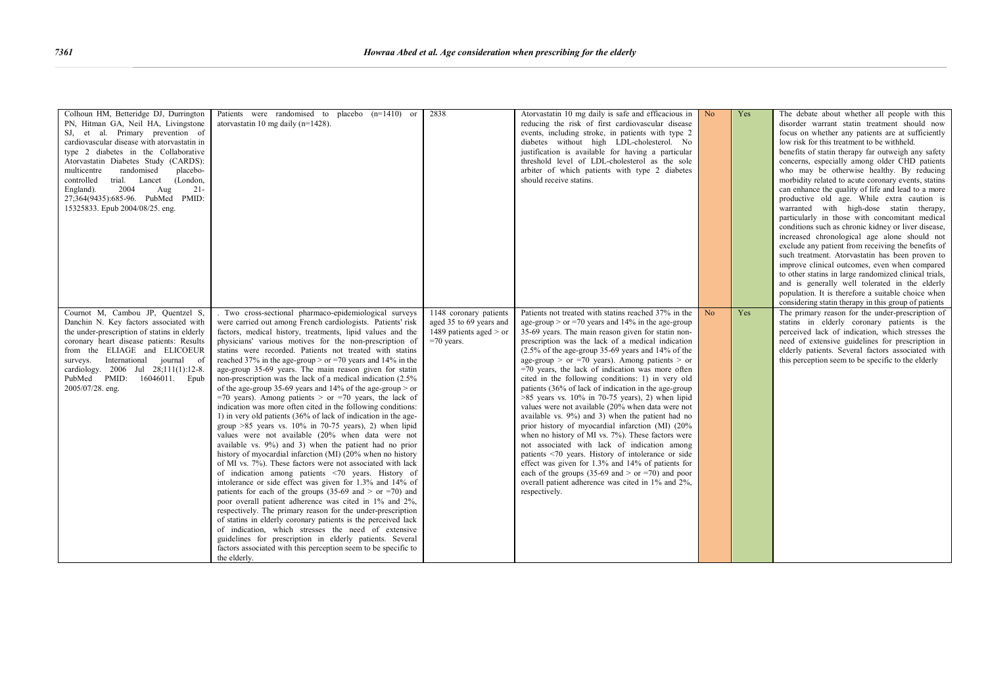| Colhoun HM, Betteridge DJ, Durrington<br>PN, Hitman GA, Neil HA, Livingstone<br>SJ, et al. Primary prevention of<br>cardiovascular disease with atorvastatin in<br>type 2 diabetes in the Collaborative<br>Atorvastatin Diabetes Study (CARDS):<br>multicentre<br>randomised<br>placebo-<br>controlled<br>trial. Lancet (London,<br>England).<br>2004<br>Aug<br>$21 -$<br>27:364(9435):685-96. PubMed PMID:<br>15325833. Epub 2004/08/25. eng. | Patients were randomised to placebo $(n=1410)$ or<br>atory astatin 10 mg daily ( $n=1428$ ).                                                                                                                                                                                                                                                                                                                                                                                                                                                                                                                                                                                                                                                                                                                                                                                                                                                                                                                                                                                                                                                                                                                                                                                                                                                                                                                                                                                                                                                                                                                                                          | 2838                                                                                           | Atorvastatin 10 mg daily is safe and efficacious in No<br>reducing the risk of first cardiovascular disease<br>events, including stroke, in patients with type 2<br>diabetes without high LDL-cholesterol. No<br>justification is available for having a particular<br>threshold level of LDL-cholesterol as the sole<br>arbiter of which patients with type 2 diabetes<br>should receive statins.                                                                                                                                                                                                                                                                                                                                                                                                                                                                                                                                                                                                                                                                                            |                | Yes | The debate about whether all people with this<br>disorder warrant statin treatment should now<br>focus on whether any patients are at sufficiently<br>low risk for this treatment to be withheld.<br>benefits of statin therapy far outweigh any safety<br>concerns, especially among older CHD patients<br>who may be otherwise healthy. By reducing<br>morbidity related to acute coronary events, statins<br>can enhance the quality of life and lead to a more<br>productive old age. While extra caution is<br>warranted with high-dose statin therapy,<br>particularly in those with concomitant medical<br>conditions such as chronic kidney or liver disease,<br>increased chronological age alone should not<br>exclude any patient from receiving the benefits of<br>such treatment. Atorvastatin has been proven to<br>improve clinical outcomes, even when compared<br>to other statins in large randomized clinical trials,<br>and is generally well tolerated in the elderly<br>population. It is therefore a suitable choice when<br>considering statin therapy in this group of patients |
|------------------------------------------------------------------------------------------------------------------------------------------------------------------------------------------------------------------------------------------------------------------------------------------------------------------------------------------------------------------------------------------------------------------------------------------------|-------------------------------------------------------------------------------------------------------------------------------------------------------------------------------------------------------------------------------------------------------------------------------------------------------------------------------------------------------------------------------------------------------------------------------------------------------------------------------------------------------------------------------------------------------------------------------------------------------------------------------------------------------------------------------------------------------------------------------------------------------------------------------------------------------------------------------------------------------------------------------------------------------------------------------------------------------------------------------------------------------------------------------------------------------------------------------------------------------------------------------------------------------------------------------------------------------------------------------------------------------------------------------------------------------------------------------------------------------------------------------------------------------------------------------------------------------------------------------------------------------------------------------------------------------------------------------------------------------------------------------------------------------|------------------------------------------------------------------------------------------------|-----------------------------------------------------------------------------------------------------------------------------------------------------------------------------------------------------------------------------------------------------------------------------------------------------------------------------------------------------------------------------------------------------------------------------------------------------------------------------------------------------------------------------------------------------------------------------------------------------------------------------------------------------------------------------------------------------------------------------------------------------------------------------------------------------------------------------------------------------------------------------------------------------------------------------------------------------------------------------------------------------------------------------------------------------------------------------------------------|----------------|-----|----------------------------------------------------------------------------------------------------------------------------------------------------------------------------------------------------------------------------------------------------------------------------------------------------------------------------------------------------------------------------------------------------------------------------------------------------------------------------------------------------------------------------------------------------------------------------------------------------------------------------------------------------------------------------------------------------------------------------------------------------------------------------------------------------------------------------------------------------------------------------------------------------------------------------------------------------------------------------------------------------------------------------------------------------------------------------------------------------------|
| Cournot M, Cambou JP, Quentzel S,<br>Danchin N. Key factors associated with<br>the under-prescription of statins in elderly<br>coronary heart disease patients: Results<br>from the ELIAGE and ELICOEUR<br>surveys. International journal of<br>cardiology. 2006 Jul 28;111(1):12-8.<br>PubMed PMID:<br>16046011. Epub<br>2005/07/28. eng.                                                                                                     | . Two cross-sectional pharmaco-epidemiological surveys<br>were carried out among French cardiologists. Patients' risk<br>factors, medical history, treatments, lipid values and the<br>physicians' various motives for the non-prescription of<br>statins were recorded. Patients not treated with statins<br>reached 37% in the age-group > or =70 years and 14% in the<br>age-group 35-69 years. The main reason given for statin<br>non-prescription was the lack of a medical indication (2.5%)<br>of the age-group 35-69 years and 14% of the age-group $>$ or<br>=70 years). Among patients > or =70 years, the lack of<br>indication was more often cited in the following conditions:<br>1) in very old patients (36% of lack of indication in the age-<br>group $>85$ years vs. 10% in 70-75 years), 2) when lipid<br>values were not available (20% when data were not<br>available vs. 9%) and 3) when the patient had no prior<br>history of myocardial infarction (MI) (20% when no history<br>of MI vs. 7%). These factors were not associated with lack<br>of indication among patients <70 years. History of<br>intolerance or side effect was given for 1.3% and 14% of<br>patients for each of the groups (35-69 and $>$ or =70) and<br>poor overall patient adherence was cited in 1% and 2%,<br>respectively. The primary reason for the under-prescription<br>of statins in elderly coronary patients is the perceived lack<br>of indication, which stresses the need of extensive<br>guidelines for prescription in elderly patients. Several<br>factors associated with this perception seem to be specific to<br>the elderly. | 1148 coronary patients<br>aged 35 to 69 years and<br>1489 patients aged $>$ or<br>$=70$ years. | Patients not treated with statins reached 37% in the<br>age-group > or =70 years and $14\%$ in the age-group<br>35-69 years. The main reason given for statin non-<br>prescription was the lack of a medical indication<br>$(2.5\% \text{ of the age-group } 35-69 \text{ years and } 14\% \text{ of the }$<br>age-group > or =70 years). Among patients > or<br>$=70$ years, the lack of indication was more often<br>cited in the following conditions: 1) in very old<br>patients (36% of lack of indication in the age-group<br>$>85$ years vs. 10% in 70-75 years), 2) when lipid<br>values were not available (20% when data were not<br>available vs. 9%) and 3) when the patient had no<br>prior history of myocardial infarction (MI) (20%<br>when no history of MI vs. 7%). These factors were<br>not associated with lack of indication among<br>patients <70 years. History of intolerance or side<br>effect was given for 1.3% and 14% of patients for<br>each of the groups (35-69 and > or =70) and poor<br>overall patient adherence was cited in 1% and 2%,<br>respectively. | N <sub>o</sub> | Yes | The primary reason for the under-prescription of<br>statins in elderly coronary patients is the<br>perceived lack of indication, which stresses the<br>need of extensive guidelines for prescription in<br>elderly patients. Several factors associated with<br>this perception seem to be specific to the elderly                                                                                                                                                                                                                                                                                                                                                                                                                                                                                                                                                                                                                                                                                                                                                                                       |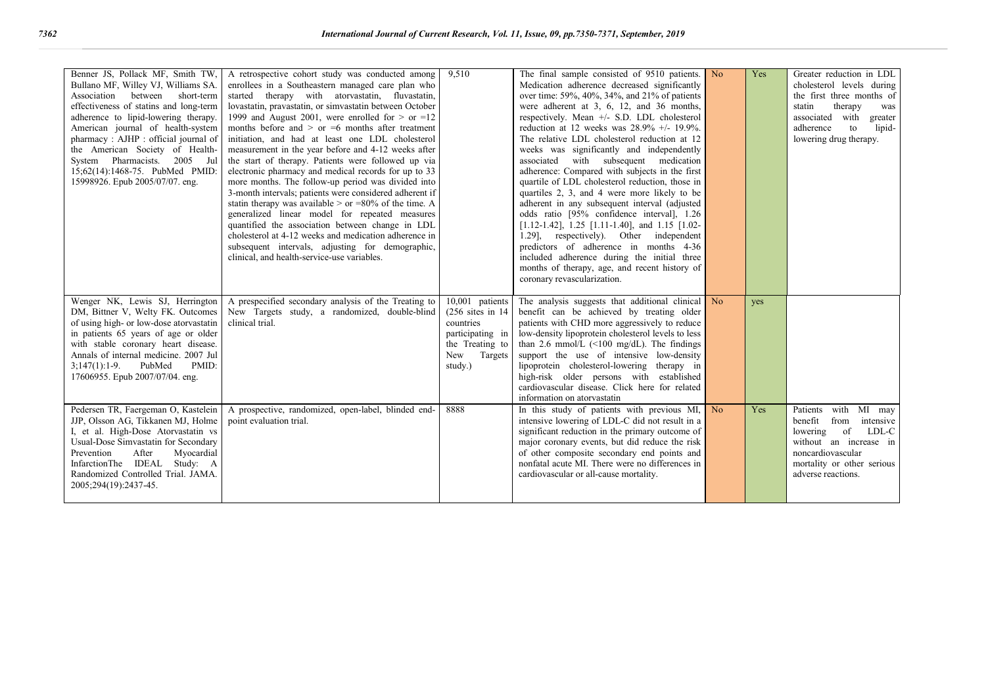| Benner JS, Pollack MF, Smith TW,<br>Bullano MF, Willey VJ, Williams SA.<br>Association between short-term<br>effectiveness of statins and long-term<br>adherence to lipid-lowering therapy.<br>American journal of health-system<br>pharmacy: AJHP: official journal of<br>the American Society of Health-<br>System Pharmacists. 2005 Jul<br>15:62(14):1468-75. PubMed PMID:<br>15998926. Epub 2005/07/07. eng. | A retrospective cohort study was conducted among<br>enrollees in a Southeastern managed care plan who<br>started therapy with atorvastatin, fluvastatin,<br>lovastatin, pravastatin, or simvastatin between October<br>1999 and August 2001, were enrolled for $>$ or =12<br>months before and $>$ or $=6$ months after treatment<br>initiation, and had at least one LDL cholesterol<br>measurement in the year before and 4-12 weeks after<br>the start of therapy. Patients were followed up via<br>electronic pharmacy and medical records for up to 33<br>more months. The follow-up period was divided into<br>3-month intervals; patients were considered adherent if<br>statin therapy was available > or =80% of the time. A<br>generalized linear model for repeated measures<br>quantified the association between change in LDL<br>cholesterol at 4-12 weeks and medication adherence in<br>subsequent intervals, adjusting for demographic,<br>clinical, and health-service-use variables. | 9.510                                                                                                                  | The final sample consisted of 9510 patients.<br>Medication adherence decreased significantly<br>over time: 59%, 40%, 34%, and 21% of patients<br>were adherent at 3, 6, 12, and 36 months,<br>respectively. Mean +/- S.D. LDL cholesterol<br>reduction at 12 weeks was 28.9% +/- 19.9%.<br>The relative LDL cholesterol reduction at 12<br>weeks was significantly and independently<br>associated with subsequent medication<br>adherence: Compared with subjects in the first<br>quartile of LDL cholesterol reduction, those in<br>quartiles 2, 3, and 4 were more likely to be<br>adherent in any subsequent interval (adjusted<br>odds ratio [95% confidence interval], 1.26<br>$[1.12-1.42]$ , 1.25 [1.11-1.40], and 1.15 [1.02-<br>1.29], respectively). Other independent<br>predictors of adherence in months 4-36<br>included adherence during the initial three<br>months of therapy, age, and recent history of<br>coronary revascularization. | N <sub>o</sub> | Yes | Greater reduction in LDL<br>cholesterol levels during<br>the first three months of<br>statin<br>therapy<br>was<br>associated with<br>greater<br>lipid-<br>adherence<br>to<br>lowering drug therapy. |
|------------------------------------------------------------------------------------------------------------------------------------------------------------------------------------------------------------------------------------------------------------------------------------------------------------------------------------------------------------------------------------------------------------------|---------------------------------------------------------------------------------------------------------------------------------------------------------------------------------------------------------------------------------------------------------------------------------------------------------------------------------------------------------------------------------------------------------------------------------------------------------------------------------------------------------------------------------------------------------------------------------------------------------------------------------------------------------------------------------------------------------------------------------------------------------------------------------------------------------------------------------------------------------------------------------------------------------------------------------------------------------------------------------------------------------|------------------------------------------------------------------------------------------------------------------------|------------------------------------------------------------------------------------------------------------------------------------------------------------------------------------------------------------------------------------------------------------------------------------------------------------------------------------------------------------------------------------------------------------------------------------------------------------------------------------------------------------------------------------------------------------------------------------------------------------------------------------------------------------------------------------------------------------------------------------------------------------------------------------------------------------------------------------------------------------------------------------------------------------------------------------------------------------|----------------|-----|-----------------------------------------------------------------------------------------------------------------------------------------------------------------------------------------------------|
| Wenger NK, Lewis SJ, Herrington<br>DM, Bittner V, Welty FK. Outcomes<br>of using high- or low-dose atorvastatin<br>in patients 65 years of age or older<br>with stable coronary heart disease.<br>Annals of internal medicine, 2007 Jul<br>$3;147(1):1-9.$<br>PubMed<br>PMID:<br>17606955. Epub 2007/07/04. eng.                                                                                                 | A prespecified secondary analysis of the Treating to<br>New Targets study, a randomized, double-blind<br>clinical trial.                                                                                                                                                                                                                                                                                                                                                                                                                                                                                                                                                                                                                                                                                                                                                                                                                                                                                | 10,001 patients<br>$(256$ sites in 14<br>countries<br>participating in<br>the Treating to<br>New<br>Targets<br>study.) | The analysis suggests that additional clinical<br>benefit can be achieved by treating older<br>patients with CHD more aggressively to reduce<br>low-density lipoprotein cholesterol levels to less<br>than 2.6 mmol/L $(\leq 100 \text{ mg/dL})$ . The findings<br>support the use of intensive low-density<br>lipoprotein cholesterol-lowering therapy in<br>high-risk older persons with established<br>cardiovascular disease. Click here for related<br>information on atorvastatin                                                                                                                                                                                                                                                                                                                                                                                                                                                                    | N <sub>o</sub> | yes |                                                                                                                                                                                                     |
| Pedersen TR, Faergeman O, Kastelein<br>JJP, Olsson AG, Tikkanen MJ, Holme<br>I, et al. High-Dose Atorvastatin vs<br>Usual-Dose Simvastatin for Secondary<br>Prevention<br>After<br>Myocardial<br>InfarctionThe IDEAL Study: A<br>Randomized Controlled Trial. JAMA.<br>2005;294(19):2437-45.                                                                                                                     | A prospective, randomized, open-label, blinded end-<br>point evaluation trial.                                                                                                                                                                                                                                                                                                                                                                                                                                                                                                                                                                                                                                                                                                                                                                                                                                                                                                                          | 8888                                                                                                                   | In this study of patients with previous MI,<br>intensive lowering of LDL-C did not result in a<br>significant reduction in the primary outcome of<br>major coronary events, but did reduce the risk<br>of other composite secondary end points and<br>nonfatal acute MI. There were no differences in<br>cardiovascular or all-cause mortality.                                                                                                                                                                                                                                                                                                                                                                                                                                                                                                                                                                                                            | N <sub>o</sub> | Yes | with MI may<br>Patients<br>from<br>benefit<br>intensive<br>of<br>LDL-C<br>lowering<br>without an increase in<br>noncardiovascular<br>mortality or other serious<br>adverse reactions.               |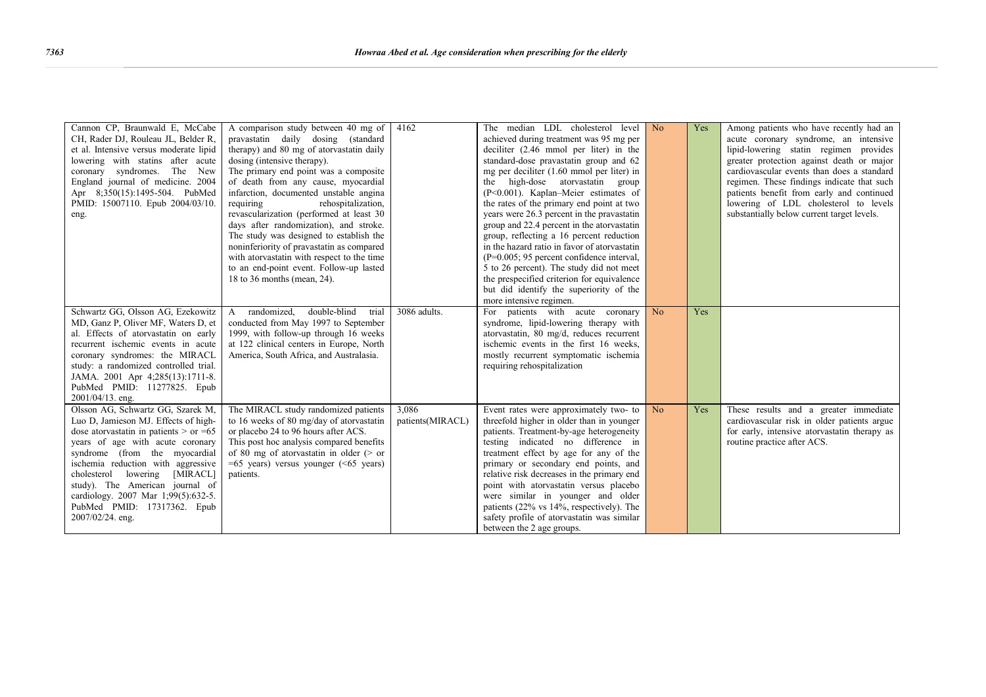| Cannon CP, Braunwald E, McCabe<br>CH, Rader DJ, Rouleau JL, Belder R,<br>et al. Intensive versus moderate lipid<br>lowering with statins after acute<br>coronary syndromes. The New<br>England journal of medicine. 2004<br>Apr 8:350(15):1495-504. PubMed<br>PMID: 15007110. Epub 2004/03/10.<br>eng.<br>Schwartz GG, Olsson AG, Ezekowitz<br>MD, Ganz P, Oliver MF, Waters D, et<br>al. Effects of atorvastatin on early<br>recurrent ischemic events in acute<br>coronary syndromes: the MIRACL | A comparison study between 40 mg of<br>pravastatin daily dosing (standard<br>therapy) and 80 mg of atorvastatin daily<br>dosing (intensive therapy).<br>The primary end point was a composite<br>of death from any cause, myocardial<br>infarction, documented unstable angina<br>requiring<br>rehospitalization,<br>revascularization (performed at least 30<br>days after randomization), and stroke.<br>The study was designed to establish the<br>noninferiority of pravastatin as compared<br>with atorvastatin with respect to the time<br>to an end-point event. Follow-up lasted<br>18 to 36 months (mean, 24).<br>double-blind<br>randomized.<br>$\mathsf{A}$<br>trial<br>conducted from May 1997 to September<br>1999, with follow-up through 16 weeks<br>at 122 clinical centers in Europe, North<br>America, South Africa, and Australasia. | 4162<br>3086 adults.      | The median LDL cholesterol level<br>achieved during treatment was 95 mg per<br>deciliter $(2.46 \text{ mmol per liter})$ in the<br>standard-dose pravastatin group and 62<br>mg per deciliter (1.60 mmol per liter) in<br>high-dose atorvastatin group<br>the<br>(P<0.001). Kaplan–Meier estimates of<br>the rates of the primary end point at two<br>years were 26.3 percent in the pravastatin<br>group and 22.4 percent in the atorvastatin<br>group, reflecting a 16 percent reduction<br>in the hazard ratio in favor of atorvastatin<br>$(P=0.005; 95$ percent confidence interval,<br>5 to 26 percent). The study did not meet<br>the prespecified criterion for equivalence<br>but did identify the superiority of the<br>more intensive regimen.<br>For patients with acute coronary<br>syndrome, lipid-lowering therapy with<br>atoryastatin, 80 mg/d, reduces recurrent<br>ischemic events in the first 16 weeks,<br>mostly recurrent symptomatic ischemia | No<br>No | Yes<br>Yes | Among patients who have recently had an<br>acute coronary syndrome, an intensive<br>lipid-lowering statin regimen provides<br>greater protection against death or major<br>cardiovascular events than does a standard<br>regimen. These findings indicate that such<br>patients benefit from early and continued<br>lowering of LDL cholesterol to levels<br>substantially below current target levels. |
|----------------------------------------------------------------------------------------------------------------------------------------------------------------------------------------------------------------------------------------------------------------------------------------------------------------------------------------------------------------------------------------------------------------------------------------------------------------------------------------------------|---------------------------------------------------------------------------------------------------------------------------------------------------------------------------------------------------------------------------------------------------------------------------------------------------------------------------------------------------------------------------------------------------------------------------------------------------------------------------------------------------------------------------------------------------------------------------------------------------------------------------------------------------------------------------------------------------------------------------------------------------------------------------------------------------------------------------------------------------------|---------------------------|-----------------------------------------------------------------------------------------------------------------------------------------------------------------------------------------------------------------------------------------------------------------------------------------------------------------------------------------------------------------------------------------------------------------------------------------------------------------------------------------------------------------------------------------------------------------------------------------------------------------------------------------------------------------------------------------------------------------------------------------------------------------------------------------------------------------------------------------------------------------------------------------------------------------------------------------------------------------------|----------|------------|---------------------------------------------------------------------------------------------------------------------------------------------------------------------------------------------------------------------------------------------------------------------------------------------------------------------------------------------------------------------------------------------------------|
| study: a randomized controlled trial.<br>JAMA. 2001 Apr 4;285(13):1711-8.<br>PubMed PMID: 11277825. Epub                                                                                                                                                                                                                                                                                                                                                                                           |                                                                                                                                                                                                                                                                                                                                                                                                                                                                                                                                                                                                                                                                                                                                                                                                                                                         |                           | requiring rehospitalization                                                                                                                                                                                                                                                                                                                                                                                                                                                                                                                                                                                                                                                                                                                                                                                                                                                                                                                                           |          |            |                                                                                                                                                                                                                                                                                                                                                                                                         |
| 2001/04/13. eng.<br>Olsson AG, Schwartz GG, Szarek M,<br>Luo D, Jamieson MJ. Effects of high-<br>dose atorvastatin in patients $>$ or $=65$<br>years of age with acute coronary<br>syndrome (from the myocardial<br>ischemia reduction with aggressive<br>cholesterol lowering<br>[MIRACL]<br>study). The American journal of<br>cardiology. 2007 Mar 1;99(5):632-5.<br>PubMed PMID: 17317362. Epub<br>2007/02/24. eng.                                                                            | The MIRACL study randomized patients<br>to 16 weeks of 80 mg/day of atorvastatin<br>or placebo 24 to 96 hours after ACS.<br>This post hoc analysis compared benefits<br>of 80 mg of atorvastatin in older $($ or<br>$=65$ years) versus younger ( $\leq 65$ years)<br>patients.                                                                                                                                                                                                                                                                                                                                                                                                                                                                                                                                                                         | 3,086<br>patients(MIRACL) | Event rates were approximately two- to<br>threefold higher in older than in younger<br>patients. Treatment-by-age heterogeneity<br>testing indicated no difference in<br>treatment effect by age for any of the<br>primary or secondary end points, and<br>relative risk decreases in the primary end<br>point with atorvastatin versus placebo<br>were similar in younger and older<br>patients (22% vs 14%, respectively). The<br>safety profile of atorvastatin was similar<br>between the 2 age groups.                                                                                                                                                                                                                                                                                                                                                                                                                                                           | No       | Yes        | These results and a greater immediate<br>cardiovascular risk in older patients argue<br>for early, intensive atorvastatin therapy as<br>routine practice after ACS.                                                                                                                                                                                                                                     |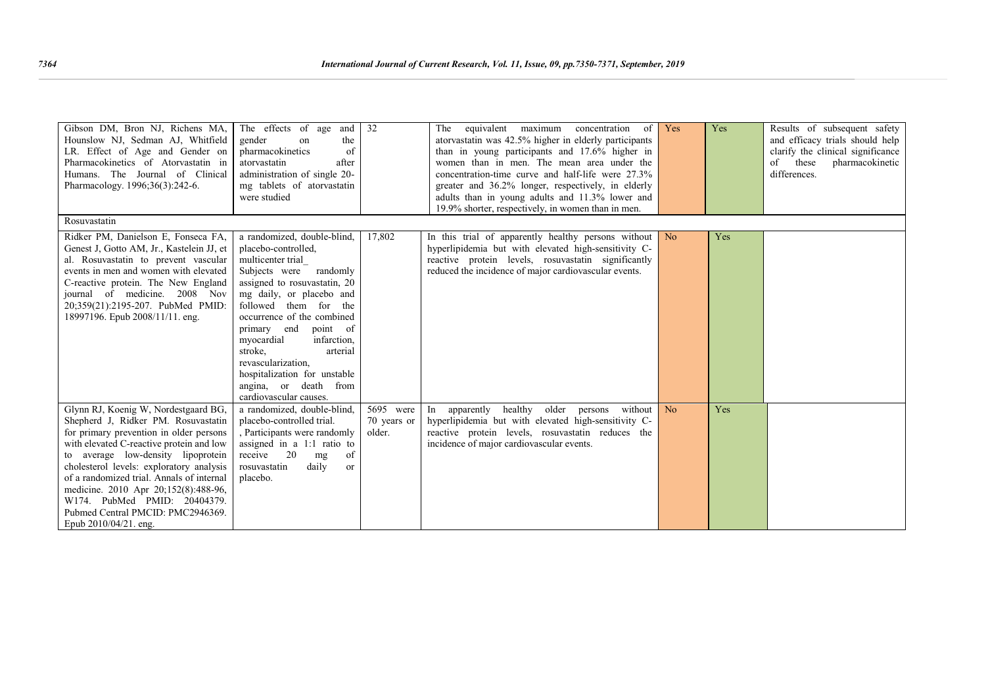| Gibson DM, Bron NJ, Richens MA,<br>Hounslow NJ, Sedman AJ, Whitfield<br>LR. Effect of Age and Gender on<br>Pharmacokinetics of Atorvastatin in<br>Humans. The Journal of Clinical<br>Pharmacology. 1996;36(3):242-6.                                                                                                                                                                                                                    | The effects of age<br>and<br>gender<br>the<br>on<br>of<br>pharmacokinetics<br>atorvastatin<br>after<br>administration of single 20-<br>mg tablets of atorvastatin<br>were studied                                                                                                                                                                                                                               | 32                                 | equivalent maximum<br>concentration of<br>The<br>atory as 42.5% higher in elderly participants<br>than in young participants and 17.6% higher in<br>women than in men. The mean area under the<br>concentration-time curve and half-life were 27.3%<br>greater and 36.2% longer, respectively, in elderly<br>adults than in young adults and 11.3% lower and<br>19.9% shorter, respectively, in women than in men. | Yes            | Yes | Results of subsequent safety<br>and efficacy trials should help<br>clarify the clinical significance<br>these<br>pharmacokinetic<br>of<br>differences. |
|-----------------------------------------------------------------------------------------------------------------------------------------------------------------------------------------------------------------------------------------------------------------------------------------------------------------------------------------------------------------------------------------------------------------------------------------|-----------------------------------------------------------------------------------------------------------------------------------------------------------------------------------------------------------------------------------------------------------------------------------------------------------------------------------------------------------------------------------------------------------------|------------------------------------|--------------------------------------------------------------------------------------------------------------------------------------------------------------------------------------------------------------------------------------------------------------------------------------------------------------------------------------------------------------------------------------------------------------------|----------------|-----|--------------------------------------------------------------------------------------------------------------------------------------------------------|
| Rosuvastatin                                                                                                                                                                                                                                                                                                                                                                                                                            |                                                                                                                                                                                                                                                                                                                                                                                                                 |                                    |                                                                                                                                                                                                                                                                                                                                                                                                                    |                |     |                                                                                                                                                        |
| Ridker PM, Danielson E, Fonseca FA,<br>Genest J, Gotto AM, Jr., Kastelein JJ, et<br>al. Rosuvastatin to prevent vascular<br>events in men and women with elevated<br>C-reactive protein. The New England<br>journal of medicine. 2008 Nov<br>20:359(21):2195-207. PubMed PMID:<br>18997196. Epub 2008/11/11. eng.                                                                                                                       | a randomized, double-blind,<br>placebo-controlled,<br>multicenter trial<br>Subjects were<br>randomly<br>assigned to rosuvastatin, 20<br>mg daily, or placebo and<br>followed them for the<br>occurrence of the combined<br>primary end<br>point of<br>myocardial<br>infarction.<br>stroke.<br>arterial<br>revascularization.<br>hospitalization for unstable<br>angina, or death from<br>cardiovascular causes. | 17,802                             | In this trial of apparently healthy persons without<br>hyperlipidemia but with elevated high-sensitivity C-<br>reactive protein levels, rosuvastatin significantly<br>reduced the incidence of major cardiovascular events.                                                                                                                                                                                        | N <sub>o</sub> | Yes |                                                                                                                                                        |
| Glynn RJ, Koenig W, Nordestgaard BG,<br>Shepherd J, Ridker PM. Rosuvastatin<br>for primary prevention in older persons<br>with elevated C-reactive protein and low<br>to average low-density lipoprotein<br>cholesterol levels: exploratory analysis<br>of a randomized trial. Annals of internal<br>medicine. 2010 Apr 20;152(8):488-96,<br>W174. PubMed PMID: 20404379.<br>Pubmed Central PMCID: PMC2946369.<br>Epub 2010/04/21. eng. | a randomized, double-blind.<br>placebo-controlled trial.<br>, Participants were randomly<br>assigned in a $1:1$ ratio to<br>of<br>receive<br>20<br>mg<br>daily<br>rosuvastatin<br>$\alpha$<br>placebo.                                                                                                                                                                                                          | 5695 were<br>70 years or<br>older. | healthy older persons<br>without  <br>In apparently<br>hyperlipidemia but with elevated high-sensitivity C-<br>reactive protein levels, rosuvastatin reduces the<br>incidence of major cardiovascular events.                                                                                                                                                                                                      | No             | Yes |                                                                                                                                                        |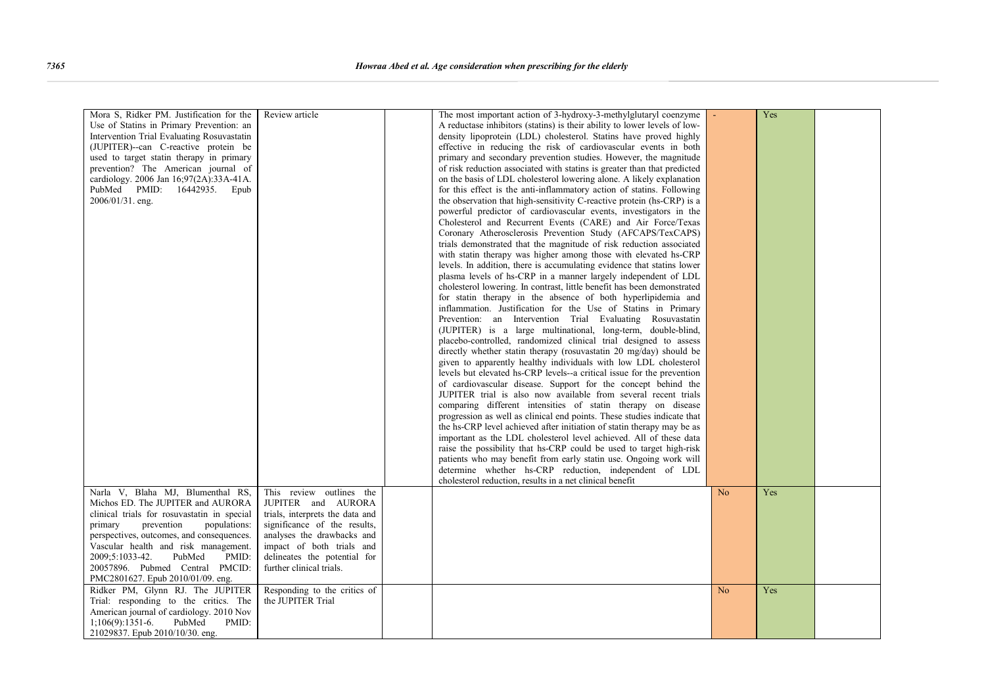| Mora S, Ridker PM. Justification for the    | Review article                  | The most important action of 3-hydroxy-3-methylglutaryl coenzyme          |                | Yes |  |
|---------------------------------------------|---------------------------------|---------------------------------------------------------------------------|----------------|-----|--|
| Use of Statins in Primary Prevention: an    |                                 | A reductase inhibitors (statins) is their ability to lower levels of low- |                |     |  |
| Intervention Trial Evaluating Rosuvastatin  |                                 | density lipoprotein (LDL) cholesterol. Statins have proved highly         |                |     |  |
| (JUPITER)--can C-reactive protein be        |                                 | effective in reducing the risk of cardiovascular events in both           |                |     |  |
| used to target statin therapy in primary    |                                 | primary and secondary prevention studies. However, the magnitude          |                |     |  |
| prevention? The American journal of         |                                 | of risk reduction associated with statins is greater than that predicted  |                |     |  |
|                                             |                                 |                                                                           |                |     |  |
| cardiology. 2006 Jan 16;97(2A):33A-41A.     |                                 | on the basis of LDL cholesterol lowering alone. A likely explanation      |                |     |  |
| PubMed PMID: 16442935. Epub                 |                                 | for this effect is the anti-inflammatory action of statins. Following     |                |     |  |
| 2006/01/31. eng.                            |                                 | the observation that high-sensitivity C-reactive protein (hs-CRP) is a    |                |     |  |
|                                             |                                 | powerful predictor of cardiovascular events, investigators in the         |                |     |  |
|                                             |                                 | Cholesterol and Recurrent Events (CARE) and Air Force/Texas               |                |     |  |
|                                             |                                 | Coronary Atherosclerosis Prevention Study (AFCAPS/TexCAPS)                |                |     |  |
|                                             |                                 | trials demonstrated that the magnitude of risk reduction associated       |                |     |  |
|                                             |                                 |                                                                           |                |     |  |
|                                             |                                 | with statin therapy was higher among those with elevated hs-CRP           |                |     |  |
|                                             |                                 | levels. In addition, there is accumulating evidence that statins lower    |                |     |  |
|                                             |                                 | plasma levels of hs-CRP in a manner largely independent of LDL            |                |     |  |
|                                             |                                 | cholesterol lowering. In contrast, little benefit has been demonstrated   |                |     |  |
|                                             |                                 | for statin therapy in the absence of both hyperlipidemia and              |                |     |  |
|                                             |                                 | inflammation. Justification for the Use of Statins in Primary             |                |     |  |
|                                             |                                 | Prevention: an Intervention Trial Evaluating Rosuvastatin                 |                |     |  |
|                                             |                                 |                                                                           |                |     |  |
|                                             |                                 | (JUPITER) is a large multinational, long-term, double-blind,              |                |     |  |
|                                             |                                 | placebo-controlled, randomized clinical trial designed to assess          |                |     |  |
|                                             |                                 | directly whether statin therapy (rosuvastatin 20 mg/day) should be        |                |     |  |
|                                             |                                 | given to apparently healthy individuals with low LDL cholesterol          |                |     |  |
|                                             |                                 | levels but elevated hs-CRP levels--a critical issue for the prevention    |                |     |  |
|                                             |                                 | of cardiovascular disease. Support for the concept behind the             |                |     |  |
|                                             |                                 |                                                                           |                |     |  |
|                                             |                                 | JUPITER trial is also now available from several recent trials            |                |     |  |
|                                             |                                 | comparing different intensities of statin therapy on disease              |                |     |  |
|                                             |                                 | progression as well as clinical end points. These studies indicate that   |                |     |  |
|                                             |                                 | the hs-CRP level achieved after initiation of statin therapy may be as    |                |     |  |
|                                             |                                 | important as the LDL cholesterol level achieved. All of these data        |                |     |  |
|                                             |                                 | raise the possibility that hs-CRP could be used to target high-risk       |                |     |  |
|                                             |                                 |                                                                           |                |     |  |
|                                             |                                 | patients who may benefit from early statin use. Ongoing work will         |                |     |  |
|                                             |                                 | determine whether hs-CRP reduction, independent of LDL                    |                |     |  |
|                                             |                                 | cholesterol reduction, results in a net clinical benefit                  |                |     |  |
| Narla V, Blaha MJ, Blumenthal RS,           | This review outlines the        |                                                                           | N <sub>o</sub> | Yes |  |
| Michos ED. The JUPITER and AURORA           | JUPITER and AURORA              |                                                                           |                |     |  |
| clinical trials for rosuvastatin in special | trials, interprets the data and |                                                                           |                |     |  |
| prevention<br>populations:<br>primary       | significance of the results,    |                                                                           |                |     |  |
|                                             |                                 |                                                                           |                |     |  |
| perspectives, outcomes, and consequences.   | analyses the drawbacks and      |                                                                           |                |     |  |
| Vascular health and risk management.        | impact of both trials and       |                                                                           |                |     |  |
| PubMed<br>2009;5:1033-42.<br>PMID:          | delineates the potential for    |                                                                           |                |     |  |
| 20057896. Pubmed Central PMCID:             | further clinical trials.        |                                                                           |                |     |  |
| PMC2801627. Epub 2010/01/09. eng.           |                                 |                                                                           |                |     |  |
| Ridker PM, Glynn RJ. The JUPITER            | Responding to the critics of    |                                                                           | N <sub>o</sub> | Yes |  |
|                                             | the JUPITER Trial               |                                                                           |                |     |  |
| Trial: responding to the critics. The       |                                 |                                                                           |                |     |  |
| American journal of cardiology. 2010 Nov    |                                 |                                                                           |                |     |  |
| $1;106(9):1351-6.$<br>PubMed<br>PMID:       |                                 |                                                                           |                |     |  |
| 21029837. Epub 2010/10/30. eng.             |                                 |                                                                           |                |     |  |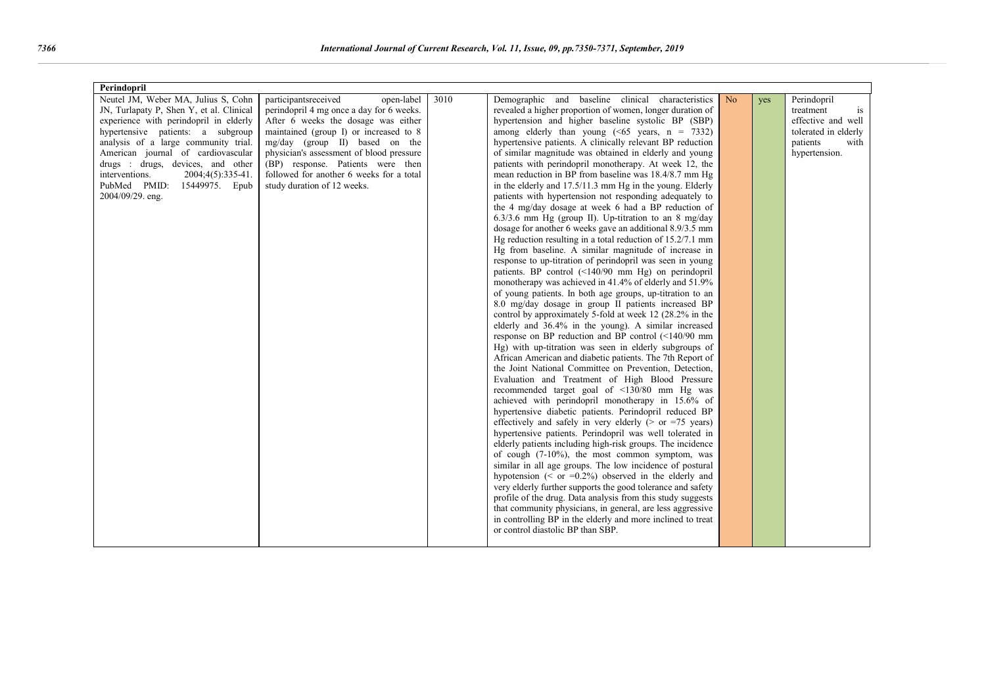| Perindopril                              |                                          |      |                                                                |                |     |                      |  |  |  |  |  |  |
|------------------------------------------|------------------------------------------|------|----------------------------------------------------------------|----------------|-----|----------------------|--|--|--|--|--|--|
| Neutel JM, Weber MA, Julius S, Cohn      | participantsreceived<br>open-label       | 3010 | Demographic and baseline clinical characteristics              | N <sub>o</sub> | yes | Perindopril          |  |  |  |  |  |  |
| JN, Turlapaty P, Shen Y, et al. Clinical | perindopril 4 mg once a day for 6 weeks. |      | revealed a higher proportion of women, longer duration of      |                |     | treatment<br>is      |  |  |  |  |  |  |
| experience with perindopril in elderly   | After 6 weeks the dosage was either      |      | hypertension and higher baseline systolic BP (SBP)             |                |     | effective and well   |  |  |  |  |  |  |
| hypertensive patients: a subgroup        | maintained (group I) or increased to 8   |      | among elderly than young $(\le 65$ years, $n = 7332$ )         |                |     | tolerated in elderly |  |  |  |  |  |  |
| analysis of a large community trial.     | $mg/day$ (group II) based on the         |      | hypertensive patients. A clinically relevant BP reduction      |                |     | patients<br>with     |  |  |  |  |  |  |
| American journal of cardiovascular       | physician's assessment of blood pressure |      | of similar magnitude was obtained in elderly and young         |                |     | hypertension.        |  |  |  |  |  |  |
| drugs : drugs, devices, and other        | (BP) response. Patients were then        |      | patients with perindopril monotherapy. At week 12, the         |                |     |                      |  |  |  |  |  |  |
| interventions.<br>2004;4(5):335-41.      | followed for another 6 weeks for a total |      | mean reduction in BP from baseline was 18.4/8.7 mm Hg          |                |     |                      |  |  |  |  |  |  |
| PubMed PMID:<br>15449975. Epub           | study duration of 12 weeks.              |      | in the elderly and 17.5/11.3 mm Hg in the young. Elderly       |                |     |                      |  |  |  |  |  |  |
| 2004/09/29. eng.                         |                                          |      | patients with hypertension not responding adequately to        |                |     |                      |  |  |  |  |  |  |
|                                          |                                          |      | the 4 mg/day dosage at week 6 had a BP reduction of            |                |     |                      |  |  |  |  |  |  |
|                                          |                                          |      | $6.3/3.6$ mm Hg (group II). Up-titration to an 8 mg/day        |                |     |                      |  |  |  |  |  |  |
|                                          |                                          |      | dosage for another 6 weeks gave an additional 8.9/3.5 mm       |                |     |                      |  |  |  |  |  |  |
|                                          |                                          |      | Hg reduction resulting in a total reduction of $15.2/7.1$ mm   |                |     |                      |  |  |  |  |  |  |
|                                          |                                          |      | Hg from baseline. A similar magnitude of increase in           |                |     |                      |  |  |  |  |  |  |
|                                          |                                          |      | response to up-titration of perindopril was seen in young      |                |     |                      |  |  |  |  |  |  |
|                                          |                                          |      | patients. BP control $(\leq 140/90$ mm Hg) on perindopril      |                |     |                      |  |  |  |  |  |  |
|                                          |                                          |      | monotherapy was achieved in 41.4% of elderly and 51.9%         |                |     |                      |  |  |  |  |  |  |
|                                          |                                          |      | of young patients. In both age groups, up-titration to an      |                |     |                      |  |  |  |  |  |  |
|                                          |                                          |      | 8.0 mg/day dosage in group II patients increased BP            |                |     |                      |  |  |  |  |  |  |
|                                          |                                          |      | control by approximately 5-fold at week 12 (28.2% in the       |                |     |                      |  |  |  |  |  |  |
|                                          |                                          |      | elderly and 36.4% in the young). A similar increased           |                |     |                      |  |  |  |  |  |  |
|                                          |                                          |      | response on BP reduction and BP control (<140/90 mm            |                |     |                      |  |  |  |  |  |  |
|                                          |                                          |      | Hg) with up-titration was seen in elderly subgroups of         |                |     |                      |  |  |  |  |  |  |
|                                          |                                          |      | African American and diabetic patients. The 7th Report of      |                |     |                      |  |  |  |  |  |  |
|                                          |                                          |      | the Joint National Committee on Prevention, Detection,         |                |     |                      |  |  |  |  |  |  |
|                                          |                                          |      | Evaluation and Treatment of High Blood Pressure                |                |     |                      |  |  |  |  |  |  |
|                                          |                                          |      | recommended target goal of <130/80 mm Hg was                   |                |     |                      |  |  |  |  |  |  |
|                                          |                                          |      | achieved with perindopril monotherapy in 15.6% of              |                |     |                      |  |  |  |  |  |  |
|                                          |                                          |      | hypertensive diabetic patients. Perindopril reduced BP         |                |     |                      |  |  |  |  |  |  |
|                                          |                                          |      | effectively and safely in very elderly ( $>$ or $=75$ years)   |                |     |                      |  |  |  |  |  |  |
|                                          |                                          |      | hypertensive patients. Perindopril was well tolerated in       |                |     |                      |  |  |  |  |  |  |
|                                          |                                          |      | elderly patients including high-risk groups. The incidence     |                |     |                      |  |  |  |  |  |  |
|                                          |                                          |      | of cough $(7-10\%)$ , the most common symptom, was             |                |     |                      |  |  |  |  |  |  |
|                                          |                                          |      | similar in all age groups. The low incidence of postural       |                |     |                      |  |  |  |  |  |  |
|                                          |                                          |      | hypotension ( $\leq$ or $=0.2\%$ ) observed in the elderly and |                |     |                      |  |  |  |  |  |  |
|                                          |                                          |      | very elderly further supports the good tolerance and safety    |                |     |                      |  |  |  |  |  |  |
|                                          |                                          |      | profile of the drug. Data analysis from this study suggests    |                |     |                      |  |  |  |  |  |  |
|                                          |                                          |      | that community physicians, in general, are less aggressive     |                |     |                      |  |  |  |  |  |  |
|                                          |                                          |      | in controlling BP in the elderly and more inclined to treat    |                |     |                      |  |  |  |  |  |  |
|                                          |                                          |      | or control diastolic BP than SBP.                              |                |     |                      |  |  |  |  |  |  |
|                                          |                                          |      |                                                                |                |     |                      |  |  |  |  |  |  |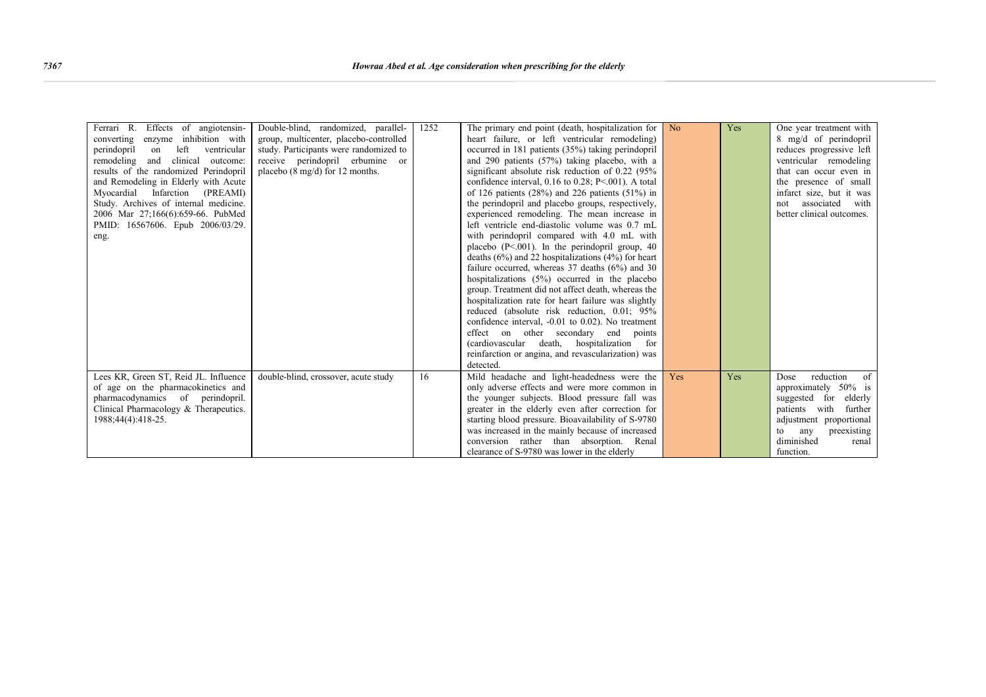| Ferrari R. Effects of angiotensin-<br>converting enzyme inhibition with<br>perindopril<br>left<br>on<br>ventricular<br>remodeling and clinical outcome:<br>results of the randomized Perindopril<br>and Remodeling in Elderly with Acute<br>Myocardial Infarction (PREAMI)<br>Study. Archives of internal medicine.<br>2006 Mar 27;166(6):659-66. PubMed<br>PMID: 16567606. Epub 2006/03/29.<br>eng. | Double-blind, randomized, parallel-<br>group, multicenter, placebo-controlled<br>study. Participants were randomized to<br>receive perindopril erbumine or<br>placebo $(8 \text{ mg/d})$ for 12 months. | 1252 | The primary end point (death, hospitalization for<br>heart failure, or left ventricular remodeling)<br>occurred in 181 patients (35%) taking perindopril<br>and 290 patients (57%) taking placebo, with a<br>significant absolute risk reduction of 0.22 (95%<br>confidence interval, $0.16$ to $0.28$ ; P<.001). A total<br>of 126 patients $(28%)$ and 226 patients $(51%)$ in<br>the perindopril and placebo groups, respectively,<br>experienced remodeling. The mean increase in<br>left ventricle end-diastolic volume was 0.7 mL<br>with perindopril compared with 4.0 mL with<br>placebo $(P<.001)$ . In the perindopril group, 40<br>deaths $(6\%)$ and 22 hospitalizations $(4\%)$ for heart<br>failure occurred, whereas $37$ deaths $(6\%)$ and $30$<br>hospitalizations (5%) occurred in the placebo<br>group. Treatment did not affect death, whereas the<br>hospitalization rate for heart failure was slightly<br>reduced (absolute risk reduction, 0.01; 95%<br>confidence interval, $-0.01$ to $0.02$ ). No treatment<br>effect on other secondary end points<br>(cardiovascular death, hospitalization for<br>reinfarction or angina, and revascularization) was | N <sub>o</sub> | Yes | One year treatment with<br>8 mg/d of perindopril<br>reduces progressive left<br>ventricular remodeling<br>that can occur even in<br>the presence of small<br>infarct size, but it was<br>associated with<br>not<br>better clinical outcomes. |
|------------------------------------------------------------------------------------------------------------------------------------------------------------------------------------------------------------------------------------------------------------------------------------------------------------------------------------------------------------------------------------------------------|---------------------------------------------------------------------------------------------------------------------------------------------------------------------------------------------------------|------|-------------------------------------------------------------------------------------------------------------------------------------------------------------------------------------------------------------------------------------------------------------------------------------------------------------------------------------------------------------------------------------------------------------------------------------------------------------------------------------------------------------------------------------------------------------------------------------------------------------------------------------------------------------------------------------------------------------------------------------------------------------------------------------------------------------------------------------------------------------------------------------------------------------------------------------------------------------------------------------------------------------------------------------------------------------------------------------------------------------------------------------------------------------------------------------|----------------|-----|----------------------------------------------------------------------------------------------------------------------------------------------------------------------------------------------------------------------------------------------|
| Lees KR, Green ST, Reid JL. Influence<br>of age on the pharmacokinetics and<br>pharmacodynamics of perindopril.<br>Clinical Pharmacology & Therapeutics.                                                                                                                                                                                                                                             | double-blind, crossover, acute study                                                                                                                                                                    | 16   | detected.<br>Mild headache and light-headedness were the<br>only adverse effects and were more common in<br>the younger subjects. Blood pressure fall was<br>greater in the elderly even after correction for                                                                                                                                                                                                                                                                                                                                                                                                                                                                                                                                                                                                                                                                                                                                                                                                                                                                                                                                                                       | Yes            | Yes | of<br>reduction<br>Dose<br>approximately 50% is<br>suggested for elderly<br>patients with<br>further                                                                                                                                         |
| 1988;44(4):418-25.                                                                                                                                                                                                                                                                                                                                                                                   |                                                                                                                                                                                                         |      | starting blood pressure. Bioavailability of S-9780<br>was increased in the mainly because of increased<br>conversion rather than absorption. Renal<br>clearance of S-9780 was lower in the elderly                                                                                                                                                                                                                                                                                                                                                                                                                                                                                                                                                                                                                                                                                                                                                                                                                                                                                                                                                                                  |                |     | adjustment proportional<br>preexisting<br>to<br>any<br>diminished<br>renal<br>function.                                                                                                                                                      |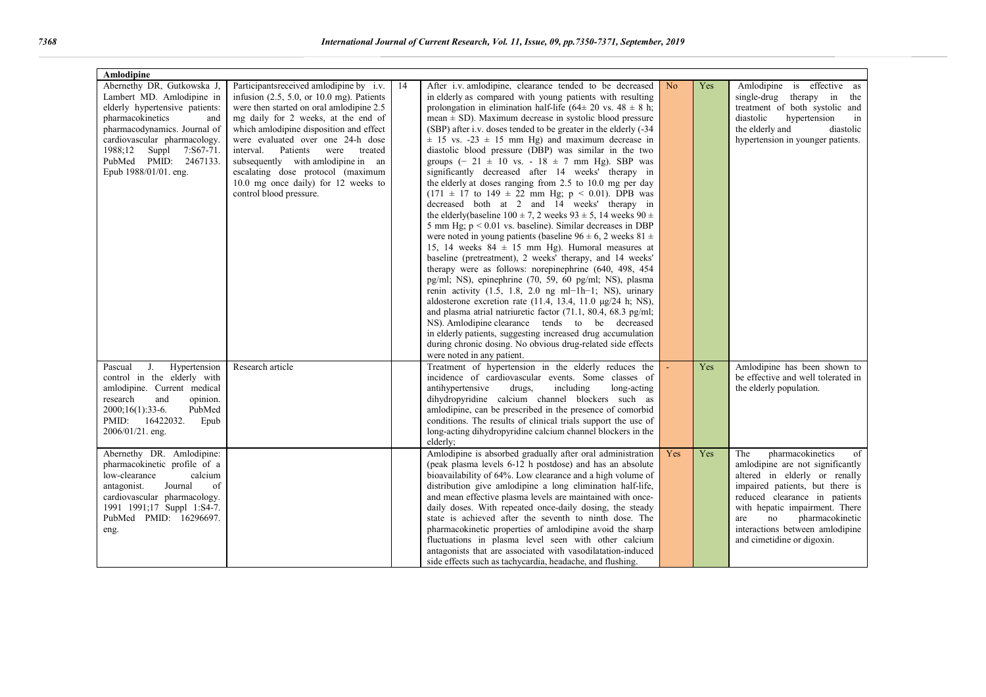| Amlodipine                                                                                                                                                                                                                                                        |                                                                                                                                                                                                                                                                                                                                                                                                                                              |    |                                                                                                                                                                                                                                                                                                                                                                                                                                                                                                                                                                                                                                                                                                                                                                                                                                                                                                                                                                                                                                                                                                                                                                                                                                                                                                                                                                                                                                                                                                                                                                                                                                                   |                |     |                                                                                                                                                                                                                                                                                                           |
|-------------------------------------------------------------------------------------------------------------------------------------------------------------------------------------------------------------------------------------------------------------------|----------------------------------------------------------------------------------------------------------------------------------------------------------------------------------------------------------------------------------------------------------------------------------------------------------------------------------------------------------------------------------------------------------------------------------------------|----|---------------------------------------------------------------------------------------------------------------------------------------------------------------------------------------------------------------------------------------------------------------------------------------------------------------------------------------------------------------------------------------------------------------------------------------------------------------------------------------------------------------------------------------------------------------------------------------------------------------------------------------------------------------------------------------------------------------------------------------------------------------------------------------------------------------------------------------------------------------------------------------------------------------------------------------------------------------------------------------------------------------------------------------------------------------------------------------------------------------------------------------------------------------------------------------------------------------------------------------------------------------------------------------------------------------------------------------------------------------------------------------------------------------------------------------------------------------------------------------------------------------------------------------------------------------------------------------------------------------------------------------------------|----------------|-----|-----------------------------------------------------------------------------------------------------------------------------------------------------------------------------------------------------------------------------------------------------------------------------------------------------------|
| Abernethy DR, Gutkowska J,<br>Lambert MD. Amlodipine in<br>elderly hypertensive patients:<br>pharmacokinetics<br>and<br>pharmacodynamics. Journal of<br>cardiovascular pharmacology.<br>1988;12 Suppl 7:S67-71.<br>PubMed PMID: 2467133.<br>Epub 1988/01/01. eng. | Participants received amodipine by i.v.<br>infusion $(2.5, 5.0, or 10.0$ mg). Patients<br>were then started on oral amlodipine 2.5<br>mg daily for 2 weeks, at the end of<br>which amlodipine disposition and effect<br>were evaluated over one 24-h dose<br>interval.<br>Patients were treated<br>subsequently with amlodipine in an<br>escalating dose protocol (maximum<br>10.0 mg once daily) for 12 weeks to<br>control blood pressure. | 14 | After i.v. amlodipine, clearance tended to be decreased<br>in elderly as compared with young patients with resulting<br>prolongation in elimination half-life (64 $\pm$ 20 vs. 48 $\pm$ 8 h;<br>mean $\pm$ SD). Maximum decrease in systolic blood pressure<br>(SBP) after i.v. doses tended to be greater in the elderly (-34)<br>$\pm$ 15 vs. -23 $\pm$ 15 mm Hg) and maximum decrease in<br>diastolic blood pressure (DBP) was similar in the two<br>groups $(-21 \pm 10 \text{ vs. } -18 \pm 7 \text{ mm Hg})$ . SBP was<br>significantly decreased after 14 weeks' therapy in<br>the elderly at doses ranging from 2.5 to 10.0 mg per day<br>$(171 \pm 17 \text{ to } 149 \pm 22 \text{ mm Hg}; p < 0.01)$ . DPB was<br>decreased both at 2 and 14 weeks' therapy in<br>the elderly (baseline $100 \pm 7$ , 2 weeks $93 \pm 5$ , 14 weeks $90 \pm$<br>5 mm Hg; $p < 0.01$ vs. baseline). Similar decreases in DBP<br>were noted in young patients (baseline $96 \pm 6$ , 2 weeks 81 $\pm$<br>15, 14 weeks $84 \pm 15$ mm Hg). Humoral measures at<br>baseline (pretreatment), 2 weeks' therapy, and 14 weeks'<br>therapy were as follows: norepinephrine (640, 498, 454)<br>pg/ml; NS), epinephrine (70, 59, 60 pg/ml; NS), plasma<br>renin activity $(1.5, 1.8, 2.0$ ng ml-1h-1; NS), urinary<br>aldosterone excretion rate (11.4, 13.4, 11.0 µg/24 h; NS),<br>and plasma atrial natriuretic factor (71.1, 80.4, 68.3 pg/ml;<br>NS). Amlodipine clearance tends to be decreased<br>in elderly patients, suggesting increased drug accumulation<br>during chronic dosing. No obvious drug-related side effects<br>were noted in any patient. | N <sub>o</sub> | Yes | Amlodipine is effective as<br>single-drug therapy in the<br>treatment of both systolic and<br>diastolic<br>hypertension<br>in<br>the elderly and<br>diastolic<br>hypertension in younger patients.                                                                                                        |
| J.<br>Hypertension<br>Pascual<br>control in the elderly with<br>amlodipine. Current medical<br>research<br>and<br>opinion.<br>PubMed<br>2000;16(1):33-6.<br>16422032.<br>PMID:<br>Epub<br>2006/01/21. eng.                                                        | Research article                                                                                                                                                                                                                                                                                                                                                                                                                             |    | Treatment of hypertension in the elderly reduces the<br>incidence of cardiovascular events. Some classes of<br>antihypertensive<br>drugs,<br>including<br>long-acting<br>dihydropyridine calcium channel blockers such as<br>amlodipine, can be prescribed in the presence of comorbid<br>conditions. The results of clinical trials support the use of<br>long-acting dihydropyridine calcium channel blockers in the<br>elderly;                                                                                                                                                                                                                                                                                                                                                                                                                                                                                                                                                                                                                                                                                                                                                                                                                                                                                                                                                                                                                                                                                                                                                                                                                |                | Yes | Amlodipine has been shown to<br>be effective and well tolerated in<br>the elderly population.                                                                                                                                                                                                             |
| Abernethy DR. Amlodipine:<br>pharmacokinetic profile of a<br>low-clearance<br>calcium<br>of<br>antagonist.<br>Journal<br>cardiovascular pharmacology.<br>1991 1991;17 Suppl 1:S4-7.<br>PubMed PMID: 16296697.<br>eng.                                             |                                                                                                                                                                                                                                                                                                                                                                                                                                              |    | Amlodipine is absorbed gradually after oral administration<br>(peak plasma levels 6-12 h postdose) and has an absolute<br>bioavailability of 64%. Low clearance and a high volume of<br>distribution give amlodipine a long elimination half-life,<br>and mean effective plasma levels are maintained with once-<br>daily doses. With repeated once-daily dosing, the steady<br>state is achieved after the seventh to ninth dose. The<br>pharmacokinetic properties of amlodipine avoid the sharp<br>fluctuations in plasma level seen with other calcium<br>antagonists that are associated with vasodilatation-induced<br>side effects such as tachycardia, headache, and flushing.                                                                                                                                                                                                                                                                                                                                                                                                                                                                                                                                                                                                                                                                                                                                                                                                                                                                                                                                                            | Yes            | Yes | pharmacokinetics<br>The<br>of<br>amlodipine are not significantly<br>altered in elderly or renally<br>impaired patients, but there is<br>reduced clearance in patients<br>with hepatic impairment. There<br>no<br>pharmacokinetic<br>are<br>interactions between amlodipine<br>and cimetidine or digoxin. |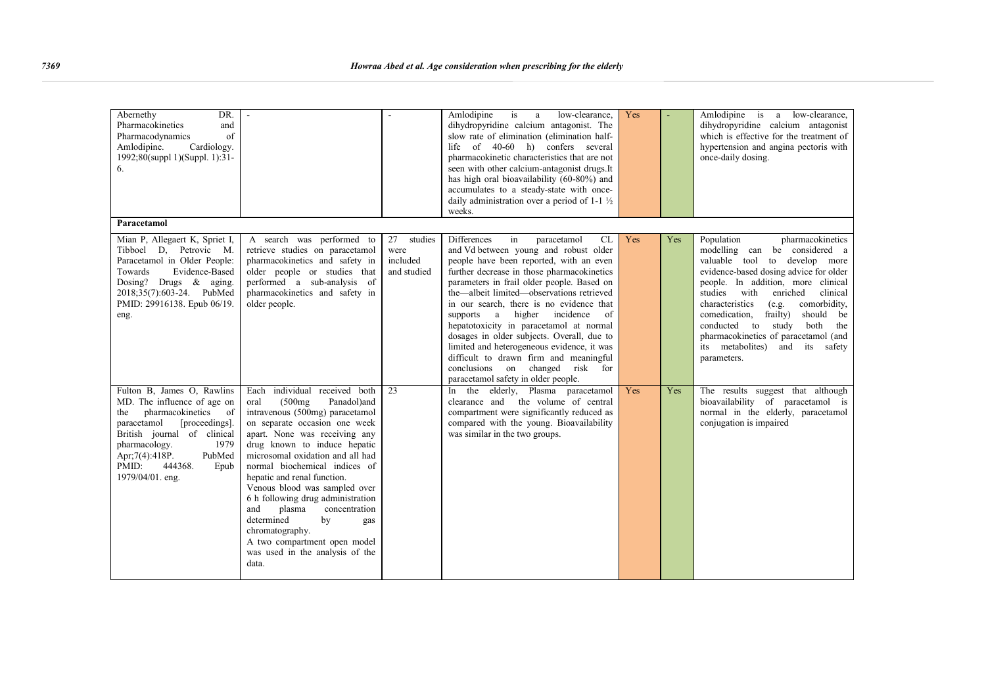| DR.<br>Abernethy<br>Pharmacokinetics<br>and<br>of<br>Pharmacodynamics<br>Cardiology.<br>Amlodipine.<br>1992;80(suppl 1)(Suppl. 1):31-<br>6.                                                                                                                                  |                                                                                                                                                                                                                                                                                                                                                                                                                                                                                                                                            |                                                  | Amlodipine<br>is<br>low-clearance.<br>a<br>dihydropyridine calcium antagonist. The<br>slow rate of elimination (elimination half-<br>life of 40-60 h) confers several<br>pharmacokinetic characteristics that are not<br>seen with other calcium-antagonist drugs. It<br>has high oral bioavailability (60-80%) and<br>accumulates to a steady-state with once-<br>daily administration over a period of $1-1\frac{1}{2}$<br>weeks.                                                                                                                                                                                              | Yes |     | Amlodipine is a low-clearance,<br>dihydropyridine calcium antagonist<br>which is effective for the treatment of<br>hypertension and angina pectoris with<br>once-daily dosing.                                                                                                                                                                                                                                                             |
|------------------------------------------------------------------------------------------------------------------------------------------------------------------------------------------------------------------------------------------------------------------------------|--------------------------------------------------------------------------------------------------------------------------------------------------------------------------------------------------------------------------------------------------------------------------------------------------------------------------------------------------------------------------------------------------------------------------------------------------------------------------------------------------------------------------------------------|--------------------------------------------------|----------------------------------------------------------------------------------------------------------------------------------------------------------------------------------------------------------------------------------------------------------------------------------------------------------------------------------------------------------------------------------------------------------------------------------------------------------------------------------------------------------------------------------------------------------------------------------------------------------------------------------|-----|-----|--------------------------------------------------------------------------------------------------------------------------------------------------------------------------------------------------------------------------------------------------------------------------------------------------------------------------------------------------------------------------------------------------------------------------------------------|
| Paracetamol                                                                                                                                                                                                                                                                  |                                                                                                                                                                                                                                                                                                                                                                                                                                                                                                                                            |                                                  |                                                                                                                                                                                                                                                                                                                                                                                                                                                                                                                                                                                                                                  |     |     |                                                                                                                                                                                                                                                                                                                                                                                                                                            |
| Mian P, Allegaert K, Spriet I,<br>Tibboel D, Petrovic M.<br>Paracetamol in Older People:<br>Evidence-Based<br>Towards<br>Dosing? Drugs $\&$ aging.<br>2018;35(7):603-24. PubMed<br>PMID: 29916138. Epub 06/19.<br>eng.                                                       | A search was performed to<br>retrieve studies on paracetamol<br>pharmacokinetics and safety in<br>older people or studies that<br>performed a sub-analysis of<br>pharmacokinetics and safety in<br>older people.                                                                                                                                                                                                                                                                                                                           | 27<br>studies<br>were<br>included<br>and studied | <b>Differences</b><br>in<br><b>CL</b><br>paracetamol<br>and Vd between young and robust older<br>people have been reported, with an even<br>further decrease in those pharmacokinetics<br>parameters in frail older people. Based on<br>the—albeit limited—observations retrieved<br>in our search, there is no evidence that<br>supports a<br>higher incidence<br>of<br>hepatotoxicity in paracetamol at normal<br>dosages in older subjects. Overall, due to<br>limited and heterogeneous evidence, it was<br>difficult to drawn firm and meaningful<br>conclusions on changed risk for<br>paracetamol safety in older people. | Yes | Yes | Population<br>pharmacokinetics<br>modelling can be considered a<br>valuable tool to develop more<br>evidence-based dosing advice for older<br>people. In addition, more clinical<br>studies with<br>enriched<br>clinical<br>characteristics<br>(e.g.<br>comorbidity,<br>comedication,<br>frailty)<br>should be<br>conducted to study both the<br>pharmacokinetics of paracetamol (and<br>its metabolites)<br>and its safety<br>parameters. |
| Fulton B, James O, Rawlins<br>MD. The influence of age on<br>pharmacokinetics<br>the<br><sub>of</sub><br>[proceedings].<br>paracetamol<br>British journal of clinical<br>1979<br>pharmacology.<br>PubMed<br>Apr; 7(4): 418P.<br>PMID:<br>444368.<br>Epub<br>1979/04/01. eng. | Each individual received both<br>(500mg)<br>oral<br>Panadol)and<br>intravenous (500mg) paracetamol<br>on separate occasion one week<br>apart. None was receiving any<br>drug known to induce hepatic<br>microsomal oxidation and all had<br>normal biochemical indices of<br>hepatic and renal function.<br>Venous blood was sampled over<br>6 h following drug administration<br>and<br>plasma<br>concentration<br>determined<br>by<br>gas<br>chromatography.<br>A two compartment open model<br>was used in the analysis of the<br>data. | 23                                               | In the elderly, Plasma paracetamol<br>clearance and the volume of central<br>compartment were significantly reduced as<br>compared with the young. Bioavailability<br>was similar in the two groups.                                                                                                                                                                                                                                                                                                                                                                                                                             | Yes | Yes | The results suggest that although<br>bioavailability of paracetamol is<br>normal in the elderly, paracetamol<br>conjugation is impaired                                                                                                                                                                                                                                                                                                    |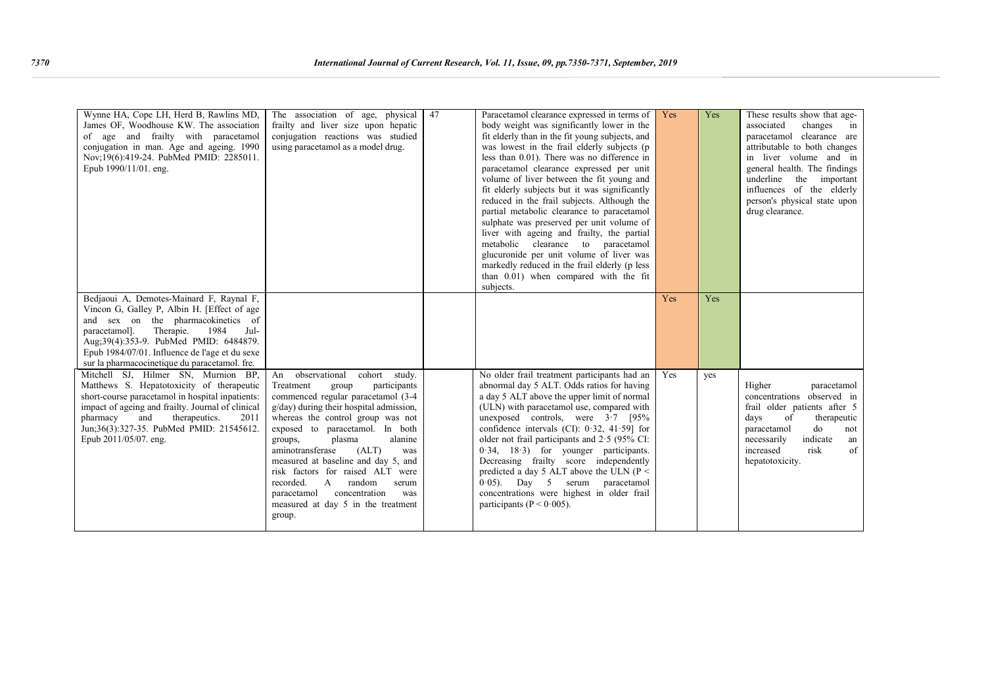| Wynne HA, Cope LH, Herd B, Rawlins MD,<br>James OF, Woodhouse KW. The association<br>of age and frailty with paracetamol<br>conjugation in man. Age and ageing. 1990<br>Nov;19(6):419-24. PubMed PMID: 2285011.<br>Epub 1990/11/01. eng.                                                                                   | The association of age, physical<br>frailty and liver size upon hepatic<br>conjugation reactions was studied<br>using paracetamol as a model drug.                                                                                                                                                                                                                                                                                                                                                             | 47 | Paracetamol clearance expressed in terms of<br>body weight was significantly lower in the<br>fit elderly than in the fit young subjects, and<br>was lowest in the frail elderly subjects (p<br>less than 0.01). There was no difference in<br>paracetamol clearance expressed per unit<br>volume of liver between the fit young and<br>fit elderly subjects but it was significantly<br>reduced in the frail subjects. Although the<br>partial metabolic clearance to paracetamol<br>sulphate was preserved per unit volume of<br>liver with ageing and frailty, the partial<br>metabolic clearance to paracetamol<br>glucuronide per unit volume of liver was<br>markedly reduced in the frail elderly (p less<br>than 0.01) when compared with the fit<br>subjects. | Yes | Yes | These results show that age-<br>associated<br>changes<br>in<br>paracetamol clearance are<br>attributable to both changes<br>in liver volume and in<br>general health. The findings<br>underline the important<br>influences of the elderly<br>person's physical state upon<br>drug clearance. |
|----------------------------------------------------------------------------------------------------------------------------------------------------------------------------------------------------------------------------------------------------------------------------------------------------------------------------|----------------------------------------------------------------------------------------------------------------------------------------------------------------------------------------------------------------------------------------------------------------------------------------------------------------------------------------------------------------------------------------------------------------------------------------------------------------------------------------------------------------|----|-----------------------------------------------------------------------------------------------------------------------------------------------------------------------------------------------------------------------------------------------------------------------------------------------------------------------------------------------------------------------------------------------------------------------------------------------------------------------------------------------------------------------------------------------------------------------------------------------------------------------------------------------------------------------------------------------------------------------------------------------------------------------|-----|-----|-----------------------------------------------------------------------------------------------------------------------------------------------------------------------------------------------------------------------------------------------------------------------------------------------|
| Bedjaoui A, Demotes-Mainard F, Raynal F,<br>Vincon G, Galley P, Albin H. [Effect of age<br>and sex on the pharmacokinetics of<br>paracetamol].<br>Therapie.<br>1984<br>Jul-<br>Aug: 39(4): 353-9. PubMed PMID: 6484879.<br>Epub 1984/07/01. Influence de l'age et du sexe<br>sur la pharmacocinetique du paracetamol. fre. |                                                                                                                                                                                                                                                                                                                                                                                                                                                                                                                |    |                                                                                                                                                                                                                                                                                                                                                                                                                                                                                                                                                                                                                                                                                                                                                                       | Yes | Yes |                                                                                                                                                                                                                                                                                               |
| Mitchell SJ, Hilmer SN, Murnion BP,<br>Matthews S. Hepatotoxicity of therapeutic<br>short-course paracetamol in hospital inpatients:<br>impact of ageing and frailty. Journal of clinical<br>and<br>therapeutics.<br>2011<br>pharmacy<br>Jun;36(3):327-35. PubMed PMID: 21545612.<br>Epub 2011/05/07. eng.                 | observational<br>cohort study.<br>An<br>Treatment<br>participants<br>group<br>commenced regular paracetamol (3-4<br>g/day) during their hospital admission,<br>whereas the control group was not<br>exposed to paracetamol. In both<br>alanine<br>plasma<br>groups,<br>aminotransferase<br>(ALT)<br>was<br>measured at baseline and day 5, and<br>risk factors for raised ALT were<br>random<br>recorded.<br>A<br>serum<br>concentration<br>paracetamol<br>was<br>measured at day 5 in the treatment<br>group. |    | No older frail treatment participants had an<br>abnormal day 5 ALT. Odds ratios for having<br>a day 5 ALT above the upper limit of normal<br>(ULN) with paracetamol use, compared with<br>unexposed controls, were $3 \cdot 7$ [95%]<br>confidence intervals (CI): $0.32$ , $41.59$ ] for<br>older not frail participants and $2.5$ (95% CI:<br>$0.34$ , $18.3$ ) for younger participants.<br>Decreasing frailty score independently<br>predicted a day 5 ALT above the ULN ( $P \le$<br>$0.05$ ). Day 5 serum paracetamol<br>concentrations were highest in older frail<br>participants ( $P < 0.005$ ).                                                                                                                                                            | Yes | yes | Higher<br>paracetamol<br>concentrations observed in<br>frail older patients after 5<br>days<br>of<br>therapeutic<br>do<br>paracetamol<br>not<br>indicate<br>necessarily<br>an<br>risk<br>of<br>increased<br>hepatotoxicity.                                                                   |